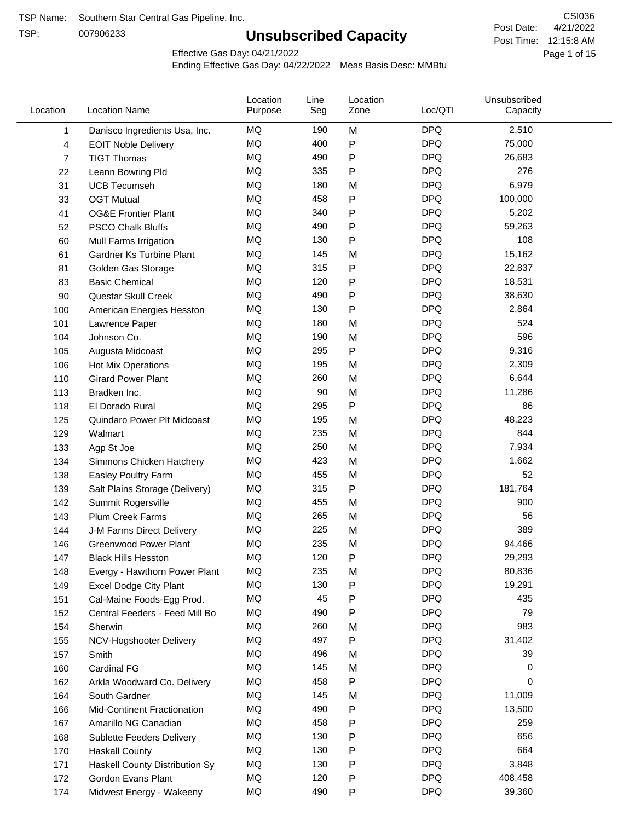TSP:

# **Unsubscribed Capacity**

4/21/2022 Page 1 of 15 Post Time: 12:15:8 AM CSI036 Post Date:

Effective Gas Day: 04/21/2022

| Location     | <b>Location Name</b>               | Location<br>Purpose | Line<br>Seg | Location<br>Zone | Loc/QTI    | Unsubscribed<br>Capacity |  |
|--------------|------------------------------------|---------------------|-------------|------------------|------------|--------------------------|--|
| $\mathbf{1}$ | Danisco Ingredients Usa, Inc.      | MQ                  | 190         | M                | <b>DPQ</b> | 2,510                    |  |
| 4            | <b>EOIT Noble Delivery</b>         | MQ                  | 400         | ${\sf P}$        | <b>DPQ</b> | 75,000                   |  |
| 7            | <b>TIGT Thomas</b>                 | <b>MQ</b>           | 490         | ${\sf P}$        | <b>DPQ</b> | 26,683                   |  |
| 22           | Leann Bowring Pld                  | <b>MQ</b>           | 335         | P                | <b>DPQ</b> | 276                      |  |
| 31           | <b>UCB Tecumseh</b>                | <b>MQ</b>           | 180         | M                | <b>DPQ</b> | 6,979                    |  |
| 33           | <b>OGT Mutual</b>                  | <b>MQ</b>           | 458         | P                | <b>DPQ</b> | 100,000                  |  |
| 41           | <b>OG&amp;E Frontier Plant</b>     | MQ                  | 340         | $\mathsf{P}$     | <b>DPQ</b> | 5,202                    |  |
| 52           | <b>PSCO Chalk Bluffs</b>           | MQ                  | 490         | P                | <b>DPQ</b> | 59,263                   |  |
| 60           | Mull Farms Irrigation              | <b>MQ</b>           | 130         | P                | <b>DPQ</b> | 108                      |  |
| 61           | Gardner Ks Turbine Plant           | <b>MQ</b>           | 145         | M                | <b>DPQ</b> | 15,162                   |  |
| 81           | Golden Gas Storage                 | MQ                  | 315         | ${\sf P}$        | <b>DPQ</b> | 22,837                   |  |
| 83           | <b>Basic Chemical</b>              | <b>MQ</b>           | 120         | ${\sf P}$        | <b>DPQ</b> | 18,531                   |  |
| 90           | Questar Skull Creek                | MQ                  | 490         | P                | <b>DPQ</b> | 38,630                   |  |
| 100          | American Energies Hesston          | <b>MQ</b>           | 130         | $\mathsf{P}$     | <b>DPQ</b> | 2,864                    |  |
| 101          | Lawrence Paper                     | <b>MQ</b>           | 180         | M                | <b>DPQ</b> | 524                      |  |
| 104          | Johnson Co.                        | MQ                  | 190         | M                | <b>DPQ</b> | 596                      |  |
| 105          | Augusta Midcoast                   | <b>MQ</b>           | 295         | $\mathsf{P}$     | <b>DPQ</b> | 9,316                    |  |
| 106          | <b>Hot Mix Operations</b>          | <b>MQ</b>           | 195         | M                | <b>DPQ</b> | 2,309                    |  |
| 110          | <b>Girard Power Plant</b>          | <b>MQ</b>           | 260         | M                | <b>DPQ</b> | 6,644                    |  |
| 113          | Bradken Inc.                       | <b>MQ</b>           | 90          | M                | <b>DPQ</b> | 11,286                   |  |
| 118          | El Dorado Rural                    | MQ                  | 295         | $\mathsf{P}$     | <b>DPQ</b> | 86                       |  |
| 125          | Quindaro Power Plt Midcoast        | MQ                  | 195         | M                | <b>DPQ</b> | 48,223                   |  |
| 129          | Walmart                            | <b>MQ</b>           | 235         | M                | <b>DPQ</b> | 844                      |  |
| 133          | Agp St Joe                         | <b>MQ</b>           | 250         | M                | <b>DPQ</b> | 7,934                    |  |
| 134          | Simmons Chicken Hatchery           | <b>MQ</b>           | 423         | M                | <b>DPQ</b> | 1,662                    |  |
| 138          | Easley Poultry Farm                | MQ                  | 455         | M                | <b>DPQ</b> | 52                       |  |
| 139          | Salt Plains Storage (Delivery)     | MQ                  | 315         | ${\sf P}$        | <b>DPQ</b> | 181,764                  |  |
| 142          | Summit Rogersville                 | <b>MQ</b>           | 455         | M                | <b>DPQ</b> | 900                      |  |
| 143          | <b>Plum Creek Farms</b>            | MQ                  | 265         | M                | <b>DPQ</b> | 56                       |  |
| 144          | J-M Farms Direct Delivery          | MQ                  | 225         | M                | <b>DPQ</b> | 389                      |  |
| 146          | <b>Greenwood Power Plant</b>       | <b>MQ</b>           | 235         | M                | <b>DPQ</b> | 94,466                   |  |
| 147          | <b>Black Hills Hesston</b>         | MQ                  | 120         | P                | <b>DPQ</b> | 29,293                   |  |
| 148          | Evergy - Hawthorn Power Plant      | MQ                  | 235         | M                | <b>DPQ</b> | 80,836                   |  |
| 149          | <b>Excel Dodge City Plant</b>      | MQ                  | 130         | P                | <b>DPQ</b> | 19,291                   |  |
| 151          | Cal-Maine Foods-Egg Prod.          | MQ                  | 45          | ${\sf P}$        | <b>DPQ</b> | 435                      |  |
| 152          | Central Feeders - Feed Mill Bo     | MQ                  | 490         | P                | <b>DPQ</b> | 79                       |  |
| 154          | Sherwin                            | MQ                  | 260         | M                | <b>DPQ</b> | 983                      |  |
| 155          | NCV-Hogshooter Delivery            | MQ                  | 497         | P                | <b>DPQ</b> | 31,402                   |  |
| 157          | Smith                              | MQ                  | 496         | M                | <b>DPQ</b> | 39                       |  |
| 160          | Cardinal FG                        | MQ                  | 145         | M                | <b>DPQ</b> | 0                        |  |
| 162          | Arkla Woodward Co. Delivery        | MQ                  | 458         | P                | <b>DPQ</b> | 0                        |  |
| 164          | South Gardner                      | MQ                  | 145         | M                | <b>DPQ</b> | 11,009                   |  |
| 166          | <b>Mid-Continent Fractionation</b> | MQ                  | 490         | P                | <b>DPQ</b> | 13,500                   |  |
| 167          | Amarillo NG Canadian               | MQ                  | 458         | P                | <b>DPQ</b> | 259                      |  |
| 168          | Sublette Feeders Delivery          | MQ                  | 130         | P                | <b>DPQ</b> | 656                      |  |
| 170          | <b>Haskall County</b>              | MQ                  | 130         | P                | <b>DPQ</b> | 664                      |  |
| 171          | Haskell County Distribution Sy     | MQ                  | 130         | P                | <b>DPQ</b> | 3,848                    |  |
| 172          | Gordon Evans Plant                 | MQ                  | 120         | P                | <b>DPQ</b> | 408,458                  |  |
| 174          | Midwest Energy - Wakeeny           | MQ                  | 490         | P                | <b>DPQ</b> | 39,360                   |  |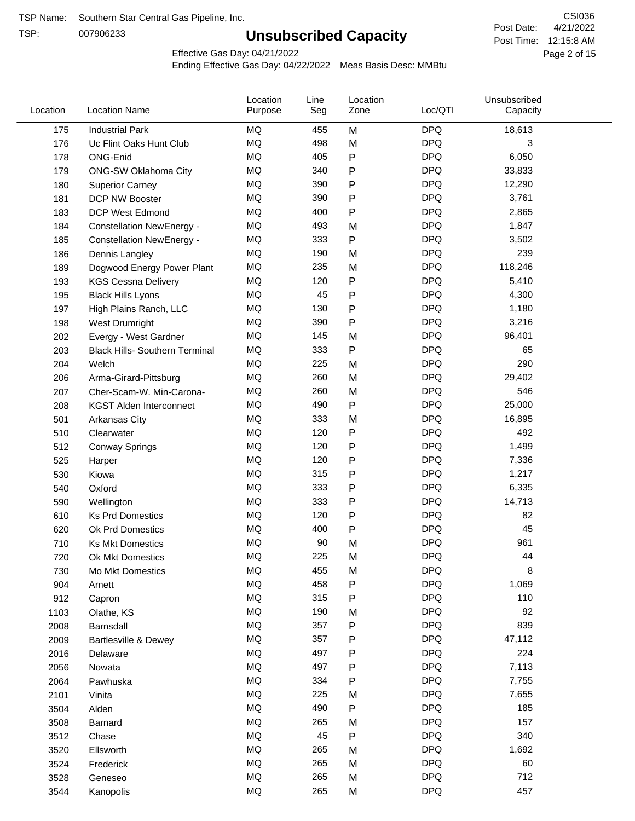TSP:

# **Unsubscribed Capacity**

4/21/2022 Page 2 of 15 Post Time: 12:15:8 AM CSI036 Post Date:

Effective Gas Day: 04/21/2022

| Location | <b>Location Name</b>                  | Location<br>Purpose | Line<br>Seg | Location<br>Zone | Loc/QTI    | Unsubscribed<br>Capacity |  |
|----------|---------------------------------------|---------------------|-------------|------------------|------------|--------------------------|--|
| 175      | <b>Industrial Park</b>                | MQ                  | 455         | M                | <b>DPQ</b> | 18,613                   |  |
| 176      | Uc Flint Oaks Hunt Club               | <b>MQ</b>           | 498         | M                | <b>DPQ</b> | 3                        |  |
| 178      | ONG-Enid                              | MQ                  | 405         | P                | <b>DPQ</b> | 6,050                    |  |
| 179      | ONG-SW Oklahoma City                  | MQ                  | 340         | P                | <b>DPQ</b> | 33,833                   |  |
| 180      | <b>Superior Carney</b>                | <b>MQ</b>           | 390         | P                | <b>DPQ</b> | 12,290                   |  |
| 181      | DCP NW Booster                        | <b>MQ</b>           | 390         | P                | <b>DPQ</b> | 3,761                    |  |
| 183      | <b>DCP West Edmond</b>                | MQ                  | 400         | P                | <b>DPQ</b> | 2,865                    |  |
| 184      | <b>Constellation NewEnergy -</b>      | MQ                  | 493         | M                | <b>DPQ</b> | 1,847                    |  |
| 185      | <b>Constellation NewEnergy -</b>      | MQ                  | 333         | P                | <b>DPQ</b> | 3,502                    |  |
| 186      | Dennis Langley                        | MQ                  | 190         | M                | <b>DPQ</b> | 239                      |  |
| 189      | Dogwood Energy Power Plant            | MQ                  | 235         | M                | <b>DPQ</b> | 118,246                  |  |
| 193      | <b>KGS Cessna Delivery</b>            | MQ                  | 120         | P                | <b>DPQ</b> | 5,410                    |  |
| 195      | <b>Black Hills Lyons</b>              | <b>MQ</b>           | 45          | P                | <b>DPQ</b> | 4,300                    |  |
| 197      | High Plains Ranch, LLC                | <b>MQ</b>           | 130         | P                | <b>DPQ</b> | 1,180                    |  |
| 198      | West Drumright                        | <b>MQ</b>           | 390         | P                | <b>DPQ</b> | 3,216                    |  |
| 202      | Evergy - West Gardner                 | <b>MQ</b>           | 145         | M                | <b>DPQ</b> | 96,401                   |  |
| 203      | <b>Black Hills- Southern Terminal</b> | <b>MQ</b>           | 333         | P                | <b>DPQ</b> | 65                       |  |
| 204      | Welch                                 | MQ                  | 225         | M                | <b>DPQ</b> | 290                      |  |
| 206      | Arma-Girard-Pittsburg                 | <b>MQ</b>           | 260         | M                | <b>DPQ</b> | 29,402                   |  |
| 207      | Cher-Scam-W. Min-Carona-              | MQ                  | 260         | M                | <b>DPQ</b> | 546                      |  |
| 208      | <b>KGST Alden Interconnect</b>        | <b>MQ</b>           | 490         | P                | <b>DPQ</b> | 25,000                   |  |
| 501      | Arkansas City                         | <b>MQ</b>           | 333         | M                | <b>DPQ</b> | 16,895                   |  |
| 510      | Clearwater                            | <b>MQ</b>           | 120         | P                | <b>DPQ</b> | 492                      |  |
| 512      | <b>Conway Springs</b>                 | <b>MQ</b>           | 120         | P                | <b>DPQ</b> | 1,499                    |  |
| 525      | Harper                                | <b>MQ</b>           | 120         | P                | <b>DPQ</b> | 7,336                    |  |
| 530      | Kiowa                                 | <b>MQ</b>           | 315         | P                | <b>DPQ</b> | 1,217                    |  |
| 540      | Oxford                                | <b>MQ</b>           | 333         | P                | <b>DPQ</b> | 6,335                    |  |
| 590      | Wellington                            | <b>MQ</b>           | 333         | P                | <b>DPQ</b> | 14,713                   |  |
| 610      | <b>Ks Prd Domestics</b>               | <b>MQ</b>           | 120         | P                | <b>DPQ</b> | 82                       |  |
| 620      | Ok Prd Domestics                      | <b>MQ</b>           | 400         | P                | <b>DPQ</b> | 45                       |  |
| 710      | <b>Ks Mkt Domestics</b>               | <b>MQ</b>           | 90          | M                | <b>DPQ</b> | 961                      |  |
| 720      | Ok Mkt Domestics                      | MQ                  | 225         | M                | <b>DPQ</b> | 44                       |  |
| 730      | Mo Mkt Domestics                      | MQ                  | 455         | M                | <b>DPQ</b> | 8                        |  |
| 904      | Arnett                                | MQ                  | 458         | P                | <b>DPQ</b> | 1,069                    |  |
| 912      | Capron                                | <b>MQ</b>           | 315         | P                | <b>DPQ</b> | 110                      |  |
| 1103     | Olathe, KS                            | MQ                  | 190         | M                | <b>DPQ</b> | 92                       |  |
| 2008     | Barnsdall                             | MQ                  | 357         | Ρ                | <b>DPQ</b> | 839                      |  |
| 2009     | Bartlesville & Dewey                  | MQ                  | 357         | P                | <b>DPQ</b> | 47,112                   |  |
| 2016     | Delaware                              | MQ                  | 497         | P                | <b>DPQ</b> | 224                      |  |
| 2056     | Nowata                                | MQ                  | 497         | Ρ                | <b>DPQ</b> | 7,113                    |  |
| 2064     | Pawhuska                              | MQ                  | 334         | Ρ                | <b>DPQ</b> | 7,755                    |  |
| 2101     | Vinita                                | MQ                  | 225         | M                | <b>DPQ</b> | 7,655                    |  |
| 3504     | Alden                                 | MQ                  | 490         | Ρ                | <b>DPQ</b> | 185                      |  |
| 3508     | Barnard                               | MQ                  | 265         | M                | <b>DPQ</b> | 157                      |  |
| 3512     | Chase                                 | <b>MQ</b>           | 45          | P                | <b>DPQ</b> | 340                      |  |
| 3520     | Ellsworth                             | MQ                  | 265         | M                | <b>DPQ</b> | 1,692                    |  |
| 3524     | Frederick                             | MQ                  | 265         | M                | <b>DPQ</b> | 60                       |  |
| 3528     | Geneseo                               | MQ                  | 265         | M                | <b>DPQ</b> | 712                      |  |
| 3544     | Kanopolis                             | $\sf{MQ}$           | 265         | M                | <b>DPQ</b> | 457                      |  |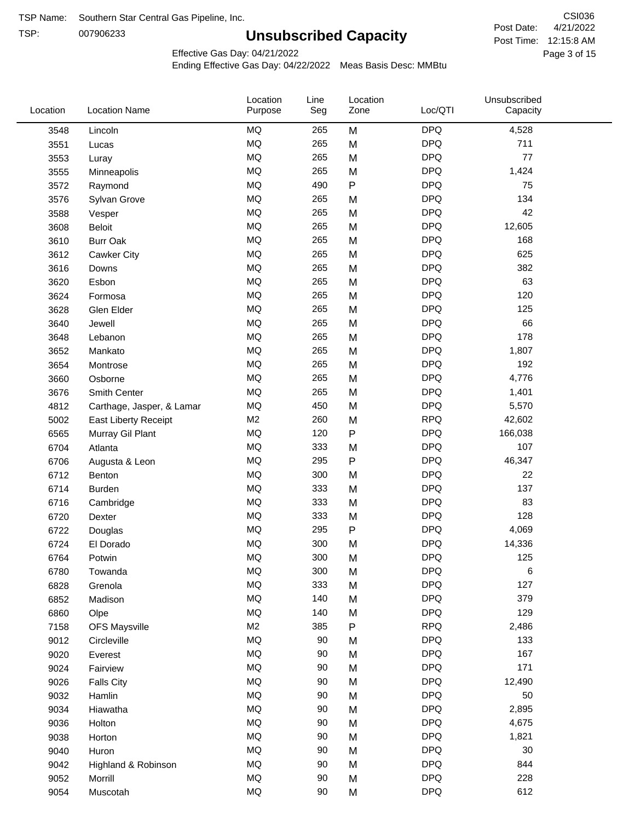TSP:

# **Unsubscribed Capacity**

4/21/2022 Page 3 of 15 Post Time: 12:15:8 AM CSI036 Post Date:

Unsubscribed

Effective Gas Day: 04/21/2022

Location

Ending Effective Gas Day: 04/22/2022 Meas Basis Desc: MMBtu

Line

Location

| Location | <b>Location Name</b>      | Purpose        | Seg | Zone | Loc/QTI    | Capacity |  |
|----------|---------------------------|----------------|-----|------|------------|----------|--|
| 3548     | Lincoln                   | <b>MQ</b>      | 265 | M    | <b>DPQ</b> | 4,528    |  |
| 3551     | Lucas                     | <b>MQ</b>      | 265 | M    | <b>DPQ</b> | 711      |  |
| 3553     | Luray                     | <b>MQ</b>      | 265 | M    | <b>DPQ</b> | 77       |  |
| 3555     | Minneapolis               | <b>MQ</b>      | 265 | M    | <b>DPQ</b> | 1,424    |  |
| 3572     | Raymond                   | MQ             | 490 | P    | <b>DPQ</b> | 75       |  |
| 3576     | Sylvan Grove              | <b>MQ</b>      | 265 | M    | <b>DPQ</b> | 134      |  |
| 3588     | Vesper                    | <b>MQ</b>      | 265 | M    | <b>DPQ</b> | 42       |  |
| 3608     | <b>Beloit</b>             | <b>MQ</b>      | 265 | M    | <b>DPQ</b> | 12,605   |  |
| 3610     | <b>Burr Oak</b>           | <b>MQ</b>      | 265 | M    | <b>DPQ</b> | 168      |  |
| 3612     | Cawker City               | <b>MQ</b>      | 265 | M    | <b>DPQ</b> | 625      |  |
| 3616     | Downs                     | <b>MQ</b>      | 265 | M    | <b>DPQ</b> | 382      |  |
| 3620     | Esbon                     | <b>MQ</b>      | 265 | M    | <b>DPQ</b> | 63       |  |
| 3624     | Formosa                   | <b>MQ</b>      | 265 | M    | <b>DPQ</b> | 120      |  |
| 3628     | Glen Elder                | <b>MQ</b>      | 265 | M    | <b>DPQ</b> | 125      |  |
| 3640     | Jewell                    | <b>MQ</b>      | 265 | M    | <b>DPQ</b> | 66       |  |
| 3648     | Lebanon                   | <b>MQ</b>      | 265 | M    | <b>DPQ</b> | 178      |  |
| 3652     | Mankato                   | <b>MQ</b>      | 265 | M    | <b>DPQ</b> | 1,807    |  |
| 3654     | Montrose                  | MQ             | 265 | M    | <b>DPQ</b> | 192      |  |
| 3660     | Osborne                   | MQ             | 265 | M    | <b>DPQ</b> | 4,776    |  |
| 3676     | Smith Center              | <b>MQ</b>      | 265 | M    | <b>DPQ</b> | 1,401    |  |
| 4812     | Carthage, Jasper, & Lamar | <b>MQ</b>      | 450 | M    | <b>DPQ</b> | 5,570    |  |
| 5002     | East Liberty Receipt      | M <sub>2</sub> | 260 | M    | <b>RPQ</b> | 42,602   |  |
| 6565     | Murray Gil Plant          | <b>MQ</b>      | 120 | P    | <b>DPQ</b> | 166,038  |  |
| 6704     | Atlanta                   | MQ             | 333 | M    | <b>DPQ</b> | 107      |  |
| 6706     | Augusta & Leon            | <b>MQ</b>      | 295 | P    | <b>DPQ</b> | 46,347   |  |
| 6712     | Benton                    | MQ             | 300 | M    | <b>DPQ</b> | 22       |  |
| 6714     | <b>Burden</b>             | MQ             | 333 | M    | <b>DPQ</b> | 137      |  |
| 6716     | Cambridge                 | MQ             | 333 | M    | <b>DPQ</b> | 83       |  |
| 6720     | Dexter                    | <b>MQ</b>      | 333 | M    | <b>DPQ</b> | 128      |  |
| 6722     | Douglas                   | <b>MQ</b>      | 295 | P    | <b>DPQ</b> | 4,069    |  |
| 6724     | El Dorado                 | <b>MQ</b>      | 300 | M    | <b>DPQ</b> | 14,336   |  |
| 6764     | Potwin                    | <b>MQ</b>      | 300 | M    | <b>DPQ</b> | 125      |  |
| 6780     | Towanda                   | <b>MQ</b>      | 300 | M    | <b>DPQ</b> | 6        |  |
| 6828     | Grenola                   | MQ             | 333 | M    | <b>DPQ</b> | 127      |  |
| 6852     | Madison                   | <b>MQ</b>      | 140 | M    | <b>DPQ</b> | 379      |  |
| 6860     | Olpe                      | <b>MQ</b>      | 140 | M    | <b>DPQ</b> | 129      |  |
| 7158     | <b>OFS Maysville</b>      | M <sub>2</sub> | 385 | P    | <b>RPQ</b> | 2,486    |  |
| 9012     | Circleville               | MQ             | 90  | M    | <b>DPQ</b> | 133      |  |
| 9020     | Everest                   | MQ             | 90  | M    | <b>DPQ</b> | 167      |  |
| 9024     | Fairview                  | MQ             | 90  | M    | <b>DPQ</b> | 171      |  |
| 9026     | <b>Falls City</b>         | MQ             | 90  | M    | <b>DPQ</b> | 12,490   |  |
| 9032     | Hamlin                    | MQ             | 90  | M    | <b>DPQ</b> | 50       |  |
| 9034     | Hiawatha                  | MQ             | 90  | M    | <b>DPQ</b> | 2,895    |  |
| 9036     | Holton                    | <b>MQ</b>      | 90  | M    | <b>DPQ</b> | 4,675    |  |
| 9038     | Horton                    | <b>MQ</b>      | 90  | M    | <b>DPQ</b> | 1,821    |  |
| 9040     | Huron                     | MQ             | 90  | M    | <b>DPQ</b> | 30       |  |
| 9042     | Highland & Robinson       | MQ             | 90  | M    | <b>DPQ</b> | 844      |  |
| 9052     | Morrill                   | MQ             | 90  | M    | <b>DPQ</b> | 228      |  |
| 9054     | Muscotah                  | MQ             | 90  | M    | <b>DPQ</b> | 612      |  |
|          |                           |                |     |      |            |          |  |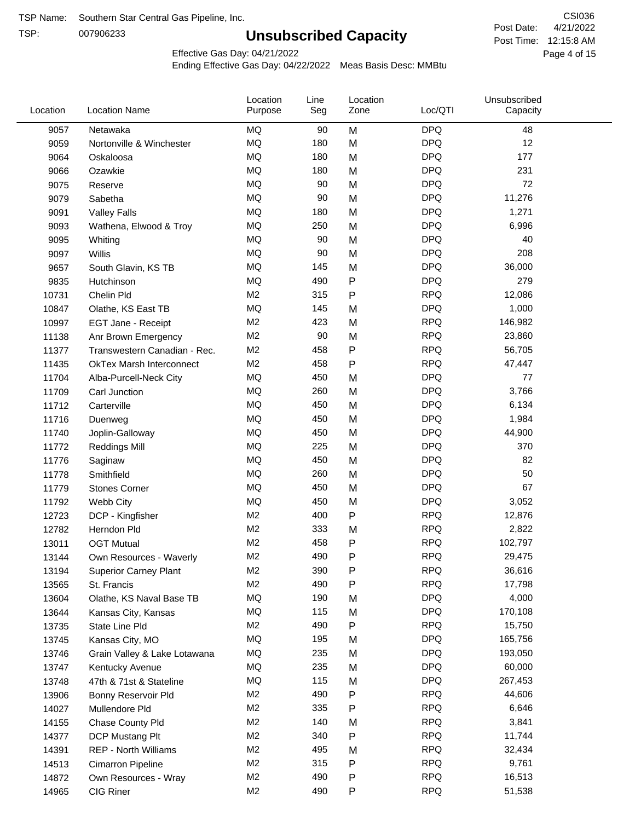TSP:

# **Unsubscribed Capacity**

4/21/2022 Page 4 of 15 Post Time: 12:15:8 AM CSI036 Post Date:

Effective Gas Day: 04/21/2022

| Location | <b>Location Name</b>            | Location<br>Purpose | Line<br>Seg | Location<br>Zone | Loc/QTI    | Unsubscribed<br>Capacity |  |
|----------|---------------------------------|---------------------|-------------|------------------|------------|--------------------------|--|
| 9057     | Netawaka                        | MQ                  | 90          | M                | <b>DPQ</b> | 48                       |  |
| 9059     | Nortonville & Winchester        | MQ                  | 180         | M                | <b>DPQ</b> | 12                       |  |
| 9064     | Oskaloosa                       | MQ                  | 180         | M                | <b>DPQ</b> | 177                      |  |
| 9066     | Ozawkie                         | MQ                  | 180         | M                | <b>DPQ</b> | 231                      |  |
| 9075     | Reserve                         | MQ                  | 90          | M                | <b>DPQ</b> | 72                       |  |
| 9079     | Sabetha                         | <b>MQ</b>           | 90          | M                | <b>DPQ</b> | 11,276                   |  |
| 9091     | <b>Valley Falls</b>             | MQ                  | 180         | M                | <b>DPQ</b> | 1,271                    |  |
| 9093     | Wathena, Elwood & Troy          | MQ                  | 250         | M                | <b>DPQ</b> | 6,996                    |  |
| 9095     | Whiting                         | MQ                  | 90          | M                | <b>DPQ</b> | 40                       |  |
| 9097     | Willis                          | MQ                  | 90          | M                | <b>DPQ</b> | 208                      |  |
| 9657     | South Glavin, KS TB             | MQ                  | 145         | M                | <b>DPQ</b> | 36,000                   |  |
| 9835     | Hutchinson                      | MQ                  | 490         | P                | <b>DPQ</b> | 279                      |  |
| 10731    | Chelin Pld                      | M <sub>2</sub>      | 315         | P                | <b>RPQ</b> | 12,086                   |  |
| 10847    | Olathe, KS East TB              | MQ                  | 145         | M                | <b>DPQ</b> | 1,000                    |  |
| 10997    | EGT Jane - Receipt              | M <sub>2</sub>      | 423         | M                | <b>RPQ</b> | 146,982                  |  |
| 11138    | Anr Brown Emergency             | M <sub>2</sub>      | 90          | M                | <b>RPQ</b> | 23,860                   |  |
| 11377    | Transwestern Canadian - Rec.    | M <sub>2</sub>      | 458         | P                | <b>RPQ</b> | 56,705                   |  |
| 11435    | <b>OkTex Marsh Interconnect</b> | M <sub>2</sub>      | 458         | P                | <b>RPQ</b> | 47,447                   |  |
| 11704    | Alba-Purcell-Neck City          | MQ                  | 450         | M                | <b>DPQ</b> | 77                       |  |
| 11709    | Carl Junction                   | MQ                  | 260         | M                | <b>DPQ</b> | 3,766                    |  |
| 11712    | Carterville                     | MQ                  | 450         | M                | <b>DPQ</b> | 6,134                    |  |
| 11716    | Duenweg                         | MQ                  | 450         | M                | <b>DPQ</b> | 1,984                    |  |
| 11740    | Joplin-Galloway                 | MQ                  | 450         | M                | <b>DPQ</b> | 44,900                   |  |
| 11772    | <b>Reddings Mill</b>            | MQ                  | 225         | M                | <b>DPQ</b> | 370                      |  |
| 11776    | Saginaw                         | MQ                  | 450         | M                | <b>DPQ</b> | 82                       |  |
| 11778    | Smithfield                      | MQ                  | 260         | M                | <b>DPQ</b> | 50                       |  |
| 11779    | <b>Stones Corner</b>            | MQ                  | 450         | M                | <b>DPQ</b> | 67                       |  |
| 11792    | Webb City                       | MQ                  | 450         | M                | <b>DPQ</b> | 3,052                    |  |
| 12723    | DCP - Kingfisher                | M <sub>2</sub>      | 400         | P                | <b>RPQ</b> | 12,876                   |  |
| 12782    | Herndon Pld                     | M <sub>2</sub>      | 333         | M                | <b>RPQ</b> | 2,822                    |  |
| 13011    | <b>OGT Mutual</b>               | M <sub>2</sub>      | 458         | P                | <b>RPQ</b> | 102,797                  |  |
| 13144    | Own Resources - Waverly         | M <sub>2</sub>      | 490         | P                | <b>RPQ</b> | 29,475                   |  |
| 13194    | <b>Superior Carney Plant</b>    | M <sub>2</sub>      | 390         | P                | <b>RPQ</b> | 36,616                   |  |
| 13565    | St. Francis                     | M <sub>2</sub>      | 490         | P                | <b>RPQ</b> | 17,798                   |  |
| 13604    | Olathe, KS Naval Base TB        | MQ                  | 190         | M                | <b>DPQ</b> | 4,000                    |  |
| 13644    | Kansas City, Kansas             | MQ                  | 115         | M                | <b>DPQ</b> | 170,108                  |  |
| 13735    | State Line Pld                  | M <sub>2</sub>      | 490         | P                | <b>RPQ</b> | 15,750                   |  |
| 13745    | Kansas City, MO                 | MQ                  | 195         | M                | <b>DPQ</b> | 165,756                  |  |
| 13746    | Grain Valley & Lake Lotawana    | MQ                  | 235         | M                | <b>DPQ</b> | 193,050                  |  |
| 13747    | Kentucky Avenue                 | MQ                  | 235         | M                | <b>DPQ</b> | 60,000                   |  |
| 13748    | 47th & 71st & Stateline         | MQ                  | 115         | M                | <b>DPQ</b> | 267,453                  |  |
| 13906    | Bonny Reservoir Pld             | M <sub>2</sub>      | 490         | P                | <b>RPQ</b> | 44,606                   |  |
| 14027    | Mullendore Pld                  | M <sub>2</sub>      | 335         | P                | <b>RPQ</b> | 6,646                    |  |
| 14155    | Chase County Pld                | M <sub>2</sub>      | 140         | M                | <b>RPQ</b> | 3,841                    |  |
| 14377    | DCP Mustang Plt                 | M <sub>2</sub>      | 340         | P                | <b>RPQ</b> | 11,744                   |  |
| 14391    | <b>REP - North Williams</b>     | M <sub>2</sub>      | 495         | M                | <b>RPQ</b> | 32,434                   |  |
| 14513    | <b>Cimarron Pipeline</b>        | M <sub>2</sub>      | 315         | P                | <b>RPQ</b> | 9,761                    |  |
| 14872    | Own Resources - Wray            | M <sub>2</sub>      | 490         | Ρ                | <b>RPQ</b> | 16,513                   |  |
| 14965    | CIG Riner                       | M <sub>2</sub>      | 490         | P                | <b>RPQ</b> | 51,538                   |  |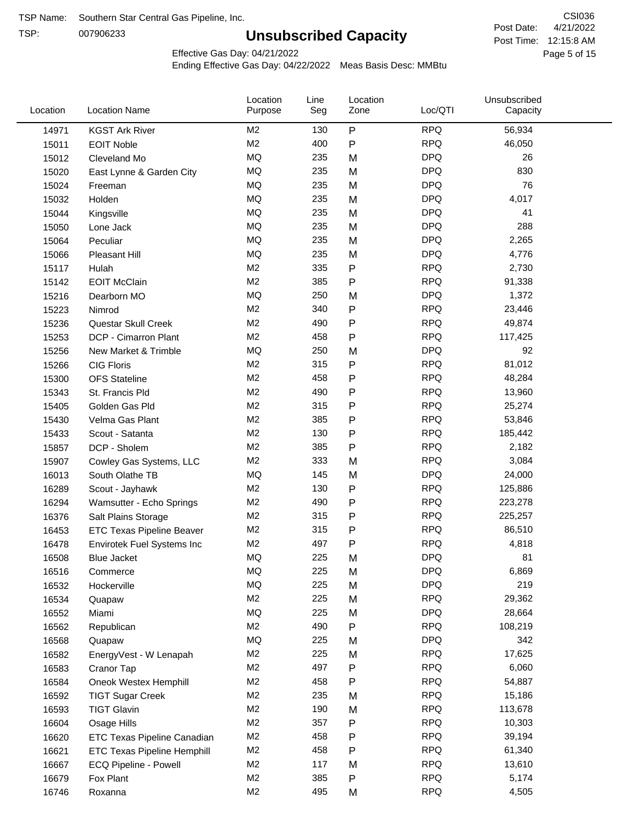TSP:

# **Unsubscribed Capacity**

4/21/2022 Page 5 of 15 Post Time: 12:15:8 AM CSI036 Post Date:

Effective Gas Day: 04/21/2022

| Location | <b>Location Name</b>               | Location<br>Purpose | Line<br>Seg | Location<br>Zone | Loc/QTI    | Unsubscribed<br>Capacity |  |
|----------|------------------------------------|---------------------|-------------|------------------|------------|--------------------------|--|
| 14971    | <b>KGST Ark River</b>              | M <sub>2</sub>      | 130         | P                | <b>RPQ</b> | 56,934                   |  |
| 15011    | <b>EOIT Noble</b>                  | M <sub>2</sub>      | 400         | P                | <b>RPQ</b> | 46,050                   |  |
| 15012    | Cleveland Mo                       | <b>MQ</b>           | 235         | M                | <b>DPQ</b> | 26                       |  |
| 15020    | East Lynne & Garden City           | MQ                  | 235         | M                | <b>DPQ</b> | 830                      |  |
| 15024    | Freeman                            | <b>MQ</b>           | 235         | M                | <b>DPQ</b> | 76                       |  |
| 15032    | Holden                             | <b>MQ</b>           | 235         | M                | <b>DPQ</b> | 4,017                    |  |
| 15044    | Kingsville                         | <b>MQ</b>           | 235         | M                | <b>DPQ</b> | 41                       |  |
| 15050    | Lone Jack                          | MQ                  | 235         | M                | <b>DPQ</b> | 288                      |  |
| 15064    | Peculiar                           | <b>MQ</b>           | 235         | M                | <b>DPQ</b> | 2,265                    |  |
| 15066    | Pleasant Hill                      | MQ                  | 235         | M                | <b>DPQ</b> | 4,776                    |  |
| 15117    | Hulah                              | M <sub>2</sub>      | 335         | P                | <b>RPQ</b> | 2,730                    |  |
| 15142    | <b>EOIT McClain</b>                | M <sub>2</sub>      | 385         | P                | <b>RPQ</b> | 91,338                   |  |
| 15216    | Dearborn MO                        | MQ                  | 250         | M                | <b>DPQ</b> | 1,372                    |  |
| 15223    | Nimrod                             | M <sub>2</sub>      | 340         | P                | <b>RPQ</b> | 23,446                   |  |
| 15236    | Questar Skull Creek                | M <sub>2</sub>      | 490         | P                | <b>RPQ</b> | 49,874                   |  |
| 15253    | DCP - Cimarron Plant               | M <sub>2</sub>      | 458         | P                | <b>RPQ</b> | 117,425                  |  |
| 15256    | New Market & Trimble               | <b>MQ</b>           | 250         | M                | <b>DPQ</b> | 92                       |  |
| 15266    | <b>CIG Floris</b>                  | M <sub>2</sub>      | 315         | P                | <b>RPQ</b> | 81,012                   |  |
| 15300    | <b>OFS Stateline</b>               | M <sub>2</sub>      | 458         | P                | <b>RPQ</b> | 48,284                   |  |
| 15343    | St. Francis Pld                    | M <sub>2</sub>      | 490         | P                | <b>RPQ</b> | 13,960                   |  |
| 15405    | Golden Gas Pld                     | M <sub>2</sub>      | 315         | P                | <b>RPQ</b> | 25,274                   |  |
| 15430    | Velma Gas Plant                    | M <sub>2</sub>      | 385         | P                | <b>RPQ</b> | 53,846                   |  |
| 15433    | Scout - Satanta                    | M <sub>2</sub>      | 130         | P                | <b>RPQ</b> | 185,442                  |  |
| 15857    | DCP - Sholem                       | M <sub>2</sub>      | 385         | P                | <b>RPQ</b> | 2,182                    |  |
| 15907    | Cowley Gas Systems, LLC            | M <sub>2</sub>      | 333         | M                | <b>RPQ</b> | 3,084                    |  |
| 16013    | South Olathe TB                    | MQ                  | 145         | M                | <b>DPQ</b> | 24,000                   |  |
| 16289    | Scout - Jayhawk                    | M <sub>2</sub>      | 130         | P                | <b>RPQ</b> | 125,886                  |  |
| 16294    | Wamsutter - Echo Springs           | M <sub>2</sub>      | 490         | P                | <b>RPQ</b> | 223,278                  |  |
| 16376    | Salt Plains Storage                | M <sub>2</sub>      | 315         | P                | <b>RPQ</b> | 225,257                  |  |
| 16453    | <b>ETC Texas Pipeline Beaver</b>   | M <sub>2</sub>      | 315         | P                | <b>RPQ</b> | 86,510                   |  |
| 16478    | Envirotek Fuel Systems Inc         | M <sub>2</sub>      | 497         | P                | <b>RPQ</b> | 4,818                    |  |
| 16508    | Blue Jacket                        | <b>MQ</b>           | 225         | M                | <b>DPQ</b> | 81                       |  |
| 16516    | Commerce                           | MQ                  | 225         | M                | <b>DPQ</b> | 6,869                    |  |
| 16532    | Hockerville                        | <b>MQ</b>           | 225         | M                | <b>DPQ</b> | 219                      |  |
| 16534    | Quapaw                             | M <sub>2</sub>      | 225         | M                | <b>RPQ</b> | 29,362                   |  |
| 16552    | Miami                              | MQ                  | 225         | M                | <b>DPQ</b> | 28,664                   |  |
| 16562    | Republican                         | M <sub>2</sub>      | 490         | Ρ                | <b>RPQ</b> | 108,219                  |  |
| 16568    | Quapaw                             | MQ                  | 225         | M                | <b>DPQ</b> | 342                      |  |
| 16582    | EnergyVest - W Lenapah             | M <sub>2</sub>      | 225         | M                | <b>RPQ</b> | 17,625                   |  |
| 16583    | Cranor Tap                         | M <sub>2</sub>      | 497         | P                | <b>RPQ</b> | 6,060                    |  |
| 16584    | Oneok Westex Hemphill              | M2                  | 458         | Ρ                | <b>RPQ</b> | 54,887                   |  |
| 16592    | <b>TIGT Sugar Creek</b>            | M <sub>2</sub>      | 235         | M                | <b>RPQ</b> | 15,186                   |  |
| 16593    | <b>TIGT Glavin</b>                 | M <sub>2</sub>      | 190         | M                | <b>RPQ</b> | 113,678                  |  |
| 16604    | Osage Hills                        | M <sub>2</sub>      | 357         | Ρ                | <b>RPQ</b> | 10,303                   |  |
| 16620    | <b>ETC Texas Pipeline Canadian</b> | M <sub>2</sub>      | 458         | P                | <b>RPQ</b> | 39,194                   |  |
| 16621    | <b>ETC Texas Pipeline Hemphill</b> | M <sub>2</sub>      | 458         | Ρ                | <b>RPQ</b> | 61,340                   |  |
| 16667    | ECQ Pipeline - Powell              | M <sub>2</sub>      | 117         | M                | <b>RPQ</b> | 13,610                   |  |
| 16679    | Fox Plant                          | M <sub>2</sub>      | 385         | Ρ                | <b>RPQ</b> | 5,174                    |  |
| 16746    | Roxanna                            | M <sub>2</sub>      | 495         | M                | <b>RPQ</b> | 4,505                    |  |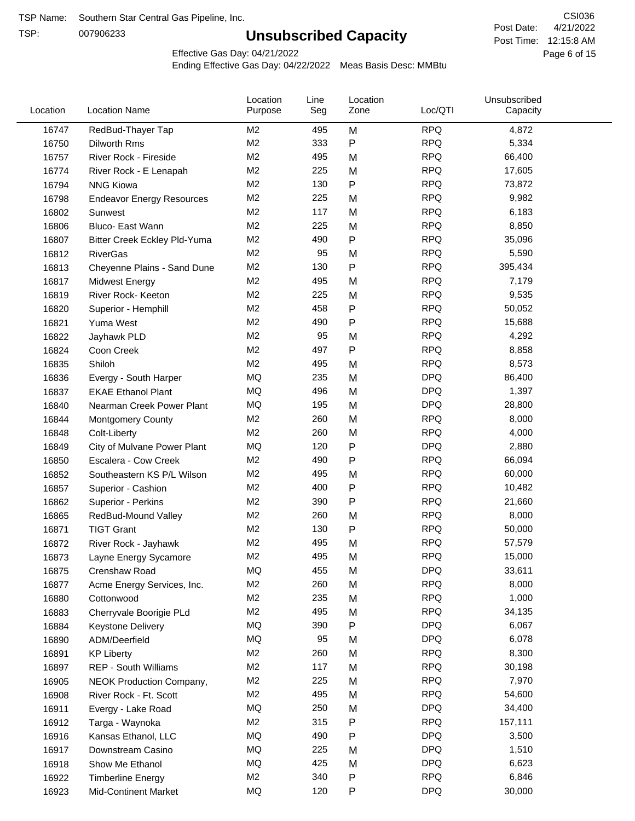TSP:

# **Unsubscribed Capacity**

4/21/2022 Page 6 of 15 Post Time: 12:15:8 AM CSI036 Post Date:

Effective Gas Day: 04/21/2022

| Location | <b>Location Name</b>             | Location<br>Purpose | Line<br>Seg | Location<br>Zone | Loc/QTI    | Unsubscribed<br>Capacity |  |
|----------|----------------------------------|---------------------|-------------|------------------|------------|--------------------------|--|
| 16747    | RedBud-Thayer Tap                | M <sub>2</sub>      | 495         | M                | <b>RPQ</b> | 4,872                    |  |
| 16750    | Dilworth Rms                     | M <sub>2</sub>      | 333         | P                | <b>RPQ</b> | 5,334                    |  |
| 16757    | River Rock - Fireside            | M <sub>2</sub>      | 495         | M                | <b>RPQ</b> | 66,400                   |  |
| 16774    | River Rock - E Lenapah           | M <sub>2</sub>      | 225         | M                | <b>RPQ</b> | 17,605                   |  |
| 16794    | <b>NNG Kiowa</b>                 | M <sub>2</sub>      | 130         | P                | <b>RPQ</b> | 73,872                   |  |
| 16798    | <b>Endeavor Energy Resources</b> | M <sub>2</sub>      | 225         | M                | <b>RPQ</b> | 9,982                    |  |
| 16802    | Sunwest                          | M <sub>2</sub>      | 117         | M                | <b>RPQ</b> | 6,183                    |  |
| 16806    | Bluco- East Wann                 | M <sub>2</sub>      | 225         | M                | <b>RPQ</b> | 8,850                    |  |
| 16807    | Bitter Creek Eckley Pld-Yuma     | M <sub>2</sub>      | 490         | P                | <b>RPQ</b> | 35,096                   |  |
| 16812    | <b>RiverGas</b>                  | M <sub>2</sub>      | 95          | M                | <b>RPQ</b> | 5,590                    |  |
| 16813    | Cheyenne Plains - Sand Dune      | M2                  | 130         | P                | <b>RPQ</b> | 395,434                  |  |
| 16817    | Midwest Energy                   | M <sub>2</sub>      | 495         | M                | <b>RPQ</b> | 7,179                    |  |
| 16819    | River Rock- Keeton               | M <sub>2</sub>      | 225         | M                | <b>RPQ</b> | 9,535                    |  |
| 16820    | Superior - Hemphill              | M <sub>2</sub>      | 458         | Ρ                | <b>RPQ</b> | 50,052                   |  |
| 16821    | Yuma West                        | M <sub>2</sub>      | 490         | P                | <b>RPQ</b> | 15,688                   |  |
| 16822    | Jayhawk PLD                      | M <sub>2</sub>      | 95          | M                | <b>RPQ</b> | 4,292                    |  |
| 16824    | Coon Creek                       | M <sub>2</sub>      | 497         | P                | <b>RPQ</b> | 8,858                    |  |
| 16835    | Shiloh                           | M <sub>2</sub>      | 495         | M                | <b>RPQ</b> | 8,573                    |  |
| 16836    | Evergy - South Harper            | MQ                  | 235         | M                | <b>DPQ</b> | 86,400                   |  |
| 16837    | <b>EKAE Ethanol Plant</b>        | MQ                  | 496         | M                | <b>DPQ</b> | 1,397                    |  |
| 16840    | Nearman Creek Power Plant        | MQ                  | 195         | M                | <b>DPQ</b> | 28,800                   |  |
| 16844    | <b>Montgomery County</b>         | M <sub>2</sub>      | 260         | M                | <b>RPQ</b> | 8,000                    |  |
| 16848    | Colt-Liberty                     | M <sub>2</sub>      | 260         | M                | <b>RPQ</b> | 4,000                    |  |
| 16849    | City of Mulvane Power Plant      | MQ                  | 120         | P                | <b>DPQ</b> | 2,880                    |  |
| 16850    | Escalera - Cow Creek             | M <sub>2</sub>      | 490         | P                | <b>RPQ</b> | 66,094                   |  |
| 16852    | Southeastern KS P/L Wilson       | M <sub>2</sub>      | 495         | M                | <b>RPQ</b> | 60,000                   |  |
| 16857    | Superior - Cashion               | M <sub>2</sub>      | 400         | P                | <b>RPQ</b> | 10,482                   |  |
| 16862    | Superior - Perkins               | M <sub>2</sub>      | 390         | P                | <b>RPQ</b> | 21,660                   |  |
| 16865    | RedBud-Mound Valley              | M <sub>2</sub>      | 260         | M                | <b>RPQ</b> | 8,000                    |  |
| 16871    | <b>TIGT Grant</b>                | M <sub>2</sub>      | 130         | P                | <b>RPQ</b> | 50,000                   |  |
| 16872    | River Rock - Jayhawk             | M <sub>2</sub>      | 495         | M                | <b>RPQ</b> | 57,579                   |  |
| 16873    | Layne Energy Sycamore            | M <sub>2</sub>      | 495         | M                | <b>RPQ</b> | 15,000                   |  |
| 16875    | Crenshaw Road                    | MQ                  | 455         | M                | <b>DPQ</b> | 33,611                   |  |
| 16877    | Acme Energy Services, Inc.       | M2                  | 260         | M                | <b>RPQ</b> | 8,000                    |  |
| 16880    | Cottonwood                       | M <sub>2</sub>      | 235         | M                | <b>RPQ</b> | 1,000                    |  |
| 16883    | Cherryvale Boorigie PLd          | M2                  | 495         | M                | <b>RPQ</b> | 34,135                   |  |
| 16884    | <b>Keystone Delivery</b>         | MQ                  | 390         | P                | <b>DPQ</b> | 6,067                    |  |
| 16890    | ADM/Deerfield                    | MQ                  | 95          | M                | <b>DPQ</b> | 6,078                    |  |
| 16891    | <b>KP Liberty</b>                | M <sub>2</sub>      | 260         | M                | <b>RPQ</b> | 8,300                    |  |
| 16897    | REP - South Williams             | M <sub>2</sub>      | 117         | M                | <b>RPQ</b> | 30,198                   |  |
| 16905    | NEOK Production Company,         | M <sub>2</sub>      | 225         | M                | <b>RPQ</b> | 7,970                    |  |
| 16908    | River Rock - Ft. Scott           | M <sub>2</sub>      | 495         | M                | <b>RPQ</b> | 54,600                   |  |
| 16911    | Evergy - Lake Road               | MQ                  | 250         | M                | <b>DPQ</b> | 34,400                   |  |
| 16912    | Targa - Waynoka                  | M2                  | 315         | P                | <b>RPQ</b> | 157,111                  |  |
| 16916    | Kansas Ethanol, LLC              | MQ                  | 490         | P                | <b>DPQ</b> | 3,500                    |  |
| 16917    | Downstream Casino                | MQ                  | 225         | M                | <b>DPQ</b> | 1,510                    |  |
| 16918    | Show Me Ethanol                  | MQ                  | 425         | M                | <b>DPQ</b> | 6,623                    |  |
| 16922    | <b>Timberline Energy</b>         | M2                  | 340         | P                | <b>RPQ</b> | 6,846                    |  |
| 16923    | <b>Mid-Continent Market</b>      | MQ                  | 120         | P                | <b>DPQ</b> | 30,000                   |  |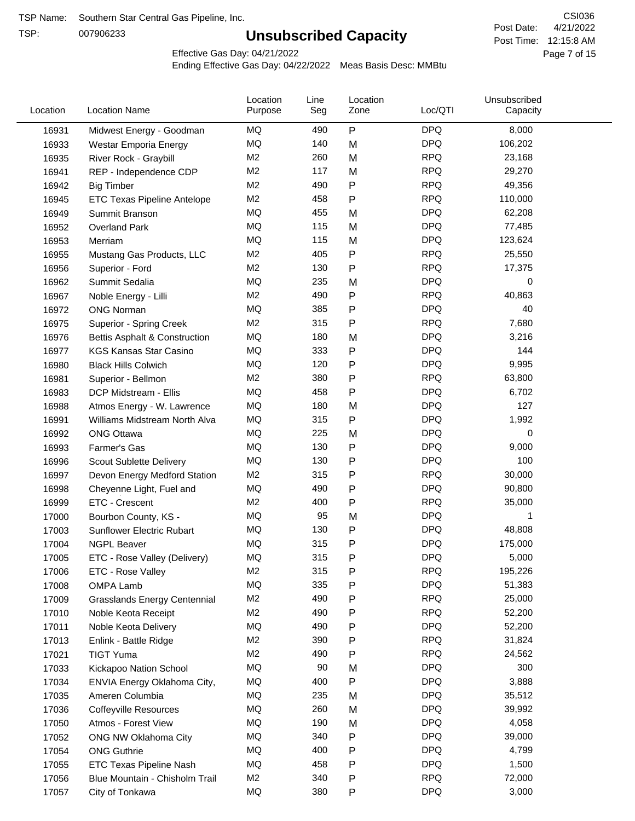TSP:

# **Unsubscribed Capacity**

4/21/2022 Page 7 of 15 Post Time: 12:15:8 AM CSI036 Post Date:

Effective Gas Day: 04/21/2022

| Location | <b>Location Name</b>                     | Location<br>Purpose | Line<br>Seg | Location<br>Zone | Loc/QTI    | Unsubscribed<br>Capacity |  |
|----------|------------------------------------------|---------------------|-------------|------------------|------------|--------------------------|--|
| 16931    | Midwest Energy - Goodman                 | MQ                  | 490         | ${\sf P}$        | <b>DPQ</b> | 8,000                    |  |
| 16933    | Westar Emporia Energy                    | MQ                  | 140         | M                | <b>DPQ</b> | 106,202                  |  |
| 16935    | River Rock - Graybill                    | M <sub>2</sub>      | 260         | M                | <b>RPQ</b> | 23,168                   |  |
| 16941    | REP - Independence CDP                   | M <sub>2</sub>      | 117         | M                | <b>RPQ</b> | 29,270                   |  |
| 16942    | <b>Big Timber</b>                        | M <sub>2</sub>      | 490         | P                | <b>RPQ</b> | 49,356                   |  |
| 16945    | ETC Texas Pipeline Antelope              | M <sub>2</sub>      | 458         | P                | <b>RPQ</b> | 110,000                  |  |
| 16949    | Summit Branson                           | MQ                  | 455         | M                | <b>DPQ</b> | 62,208                   |  |
| 16952    | <b>Overland Park</b>                     | MQ                  | 115         | M                | <b>DPQ</b> | 77,485                   |  |
| 16953    | Merriam                                  | MQ                  | 115         | M                | <b>DPQ</b> | 123,624                  |  |
| 16955    | Mustang Gas Products, LLC                | M <sub>2</sub>      | 405         | Ρ                | <b>RPQ</b> | 25,550                   |  |
| 16956    | Superior - Ford                          | M <sub>2</sub>      | 130         | Ρ                | <b>RPQ</b> | 17,375                   |  |
| 16962    | Summit Sedalia                           | MQ                  | 235         | M                | <b>DPQ</b> | 0                        |  |
| 16967    | Noble Energy - Lilli                     | M <sub>2</sub>      | 490         | P                | <b>RPQ</b> | 40,863                   |  |
| 16972    | <b>ONG Norman</b>                        | MQ                  | 385         | Ρ                | <b>DPQ</b> | 40                       |  |
| 16975    | Superior - Spring Creek                  | M <sub>2</sub>      | 315         | $\mathsf{P}$     | <b>RPQ</b> | 7,680                    |  |
| 16976    | <b>Bettis Asphalt &amp; Construction</b> | MQ                  | 180         | M                | <b>DPQ</b> | 3,216                    |  |
| 16977    | <b>KGS Kansas Star Casino</b>            | MQ                  | 333         | Ρ                | <b>DPQ</b> | 144                      |  |
| 16980    | <b>Black Hills Colwich</b>               | MQ                  | 120         | Ρ                | <b>DPQ</b> | 9,995                    |  |
| 16981    | Superior - Bellmon                       | M <sub>2</sub>      | 380         | Ρ                | <b>RPQ</b> | 63,800                   |  |
| 16983    | DCP Midstream - Ellis                    | MQ                  | 458         | P                | <b>DPQ</b> | 6,702                    |  |
| 16988    | Atmos Energy - W. Lawrence               | MQ                  | 180         | M                | <b>DPQ</b> | 127                      |  |
| 16991    | Williams Midstream North Alva            | MQ                  | 315         | P                | <b>DPQ</b> | 1,992                    |  |
| 16992    | <b>ONG Ottawa</b>                        | MQ                  | 225         | M                | <b>DPQ</b> | 0                        |  |
| 16993    | Farmer's Gas                             | MQ                  | 130         | Ρ                | <b>DPQ</b> | 9,000                    |  |
| 16996    | Scout Sublette Delivery                  | MQ                  | 130         | Ρ                | <b>DPQ</b> | 100                      |  |
| 16997    | Devon Energy Medford Station             | M2                  | 315         | Ρ                | <b>RPQ</b> | 30,000                   |  |
| 16998    | Cheyenne Light, Fuel and                 | MQ                  | 490         | Ρ                | <b>DPQ</b> | 90,800                   |  |
| 16999    | ETC - Crescent                           | M <sub>2</sub>      | 400         | P                | <b>RPQ</b> | 35,000                   |  |
| 17000    | Bourbon County, KS -                     | MQ                  | 95          | M                | <b>DPQ</b> | 1                        |  |
| 17003    | Sunflower Electric Rubart                | MQ                  | 130         | P                | <b>DPQ</b> | 48,808                   |  |
| 17004    | <b>NGPL Beaver</b>                       | MQ                  | 315         | P                | <b>DPQ</b> | 175,000                  |  |
| 17005    | ETC - Rose Valley (Delivery)             | MQ                  | 315         | P                | <b>DPQ</b> | 5,000                    |  |
| 17006    | ETC - Rose Valley                        | M <sub>2</sub>      | 315         | P                | <b>RPQ</b> | 195,226                  |  |
| 17008    | OMPA Lamb                                | MQ                  | 335         | P                | <b>DPQ</b> | 51,383                   |  |
| 17009    | <b>Grasslands Energy Centennial</b>      | M <sub>2</sub>      | 490         | P                | <b>RPQ</b> | 25,000                   |  |
| 17010    | Noble Keota Receipt                      | M <sub>2</sub>      | 490         | P                | <b>RPQ</b> | 52,200                   |  |
| 17011    | Noble Keota Delivery                     | MQ                  | 490         | Ρ                | <b>DPQ</b> | 52,200                   |  |
| 17013    | Enlink - Battle Ridge                    | M <sub>2</sub>      | 390         | Ρ                | <b>RPQ</b> | 31,824                   |  |
| 17021    | <b>TIGT Yuma</b>                         | M <sub>2</sub>      | 490         | Ρ                | <b>RPQ</b> | 24,562                   |  |
| 17033    | Kickapoo Nation School                   | MQ                  | 90          | M                | <b>DPQ</b> | 300                      |  |
| 17034    | ENVIA Energy Oklahoma City,              | MQ                  | 400         | Ρ                | <b>DPQ</b> | 3,888                    |  |
| 17035    | Ameren Columbia                          | MQ                  | 235         | M                | <b>DPQ</b> | 35,512                   |  |
| 17036    | <b>Coffeyville Resources</b>             | MQ                  | 260         | M                | <b>DPQ</b> | 39,992                   |  |
| 17050    | Atmos - Forest View                      | MQ                  | 190         | M                | <b>DPQ</b> | 4,058                    |  |
| 17052    | ONG NW Oklahoma City                     | MQ                  | 340         | Ρ                | <b>DPQ</b> | 39,000                   |  |
| 17054    | <b>ONG Guthrie</b>                       | MQ                  | 400         | Ρ                | <b>DPQ</b> | 4,799                    |  |
| 17055    | <b>ETC Texas Pipeline Nash</b>           | MQ                  | 458         | P                | <b>DPQ</b> | 1,500                    |  |
| 17056    | Blue Mountain - Chisholm Trail           | M <sub>2</sub>      | 340         | P                | <b>RPQ</b> | 72,000                   |  |
| 17057    | City of Tonkawa                          | MQ                  | 380         | P                | <b>DPQ</b> | 3,000                    |  |
|          |                                          |                     |             |                  |            |                          |  |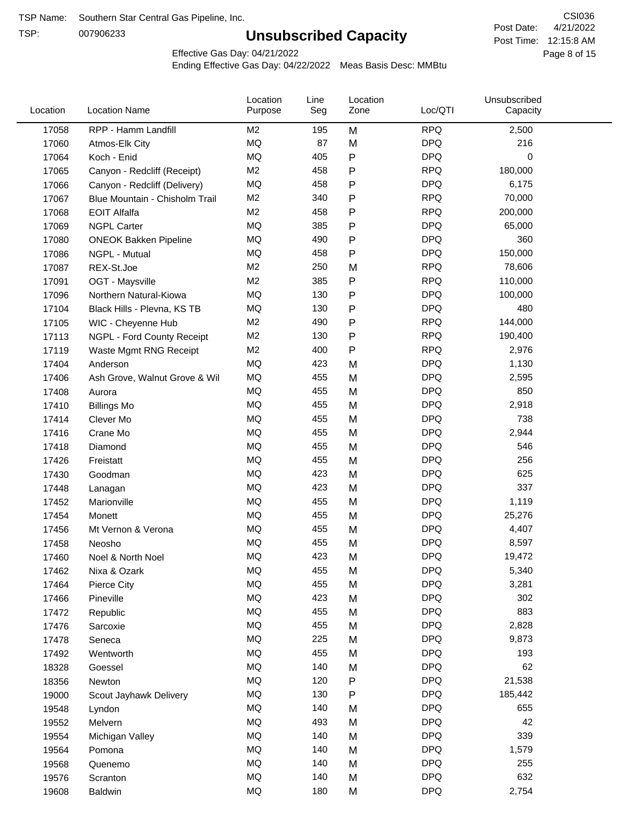TSP:

# **Unsubscribed Capacity**

4/21/2022 Page 8 of 15 Post Time: 12:15:8 AM CSI036 Post Date:

Effective Gas Day: 04/21/2022

| Location | <b>Location Name</b>           | Location<br>Purpose | Line<br>Seg | Location<br>Zone | Loc/QTI    | Unsubscribed<br>Capacity |  |
|----------|--------------------------------|---------------------|-------------|------------------|------------|--------------------------|--|
| 17058    | RPP - Hamm Landfill            | M <sub>2</sub>      | 195         | M                | <b>RPQ</b> | 2,500                    |  |
| 17060    | Atmos-Elk City                 | MQ                  | 87          | M                | <b>DPQ</b> | 216                      |  |
| 17064    | Koch - Enid                    | MQ                  | 405         | P                | <b>DPQ</b> | 0                        |  |
| 17065    | Canyon - Redcliff (Receipt)    | M <sub>2</sub>      | 458         | P                | <b>RPQ</b> | 180,000                  |  |
| 17066    | Canyon - Redcliff (Delivery)   | <b>MQ</b>           | 458         | Ρ                | <b>DPQ</b> | 6,175                    |  |
| 17067    | Blue Mountain - Chisholm Trail | M <sub>2</sub>      | 340         | P                | <b>RPQ</b> | 70,000                   |  |
| 17068    | <b>EOIT Alfalfa</b>            | M <sub>2</sub>      | 458         | P                | <b>RPQ</b> | 200,000                  |  |
| 17069    | <b>NGPL Carter</b>             | MQ                  | 385         | P                | <b>DPQ</b> | 65,000                   |  |
| 17080    | <b>ONEOK Bakken Pipeline</b>   | MQ                  | 490         | P                | <b>DPQ</b> | 360                      |  |
| 17086    | NGPL - Mutual                  | <b>MQ</b>           | 458         | P                | <b>DPQ</b> | 150,000                  |  |
| 17087    | REX-St.Joe                     | M2                  | 250         | M                | <b>RPQ</b> | 78,606                   |  |
| 17091    | OGT - Maysville                | M <sub>2</sub>      | 385         | P                | <b>RPQ</b> | 110,000                  |  |
| 17096    | Northern Natural-Kiowa         | <b>MQ</b>           | 130         | P                | <b>DPQ</b> | 100,000                  |  |
| 17104    | Black Hills - Plevna, KS TB    | <b>MQ</b>           | 130         | Ρ                | <b>DPQ</b> | 480                      |  |
| 17105    | WIC - Cheyenne Hub             | M <sub>2</sub>      | 490         | P                | <b>RPQ</b> | 144,000                  |  |
| 17113    | NGPL - Ford County Receipt     | M <sub>2</sub>      | 130         | P                | <b>RPQ</b> | 190,400                  |  |
| 17119    | Waste Mgmt RNG Receipt         | M <sub>2</sub>      | 400         | P                | <b>RPQ</b> | 2,976                    |  |
| 17404    | Anderson                       | MQ                  | 423         | M                | <b>DPQ</b> | 1,130                    |  |
| 17406    | Ash Grove, Walnut Grove & Wil  | <b>MQ</b>           | 455         | M                | <b>DPQ</b> | 2,595                    |  |
| 17408    | Aurora                         | <b>MQ</b>           | 455         | M                | <b>DPQ</b> | 850                      |  |
| 17410    | <b>Billings Mo</b>             | <b>MQ</b>           | 455         | M                | <b>DPQ</b> | 2,918                    |  |
| 17414    | Clever Mo                      | <b>MQ</b>           | 455         | M                | <b>DPQ</b> | 738                      |  |
| 17416    | Crane Mo                       | <b>MQ</b>           | 455         | M                | <b>DPQ</b> | 2,944                    |  |
| 17418    | Diamond                        | <b>MQ</b>           | 455         | M                | <b>DPQ</b> | 546                      |  |
| 17426    | Freistatt                      | <b>MQ</b>           | 455         | M                | <b>DPQ</b> | 256                      |  |
| 17430    | Goodman                        | MQ                  | 423         | M                | <b>DPQ</b> | 625                      |  |
| 17448    | Lanagan                        | <b>MQ</b>           | 423         | M                | <b>DPQ</b> | 337                      |  |
| 17452    | Marionville                    | <b>MQ</b>           | 455         | M                | <b>DPQ</b> | 1,119                    |  |
| 17454    | Monett                         | <b>MQ</b>           | 455         | M                | <b>DPQ</b> | 25,276                   |  |
| 17456    | Mt Vernon & Verona             | <b>MQ</b>           | 455         | M                | <b>DPQ</b> | 4,407                    |  |
| 17458    | Neosho                         | <b>MQ</b>           | 455         | M                | <b>DPQ</b> | 8,597                    |  |
| 17460    | Noel & North Noel              | MQ                  | 423         | M                | <b>DPQ</b> | 19,472                   |  |
| 17462    | Nixa & Ozark                   | MQ                  | 455         | M                | <b>DPQ</b> | 5,340                    |  |
| 17464    | Pierce City                    | MQ                  | 455         | M                | <b>DPQ</b> | 3,281                    |  |
| 17466    | Pineville                      | MQ                  | 423         | M                | <b>DPQ</b> | 302                      |  |
| 17472    | Republic                       | MQ                  | 455         | M                | <b>DPQ</b> | 883                      |  |
| 17476    | Sarcoxie                       | MQ                  | 455         | M                | <b>DPQ</b> | 2,828                    |  |
| 17478    | Seneca                         | MQ                  | 225         | M                | <b>DPQ</b> | 9,873                    |  |
| 17492    | Wentworth                      | MQ                  | 455         | M                | <b>DPQ</b> | 193                      |  |
| 18328    | Goessel                        | MQ                  | 140         | M                | <b>DPQ</b> | 62                       |  |
| 18356    | Newton                         | MQ                  | 120         | P                | <b>DPQ</b> | 21,538                   |  |
| 19000    | Scout Jayhawk Delivery         | MQ                  | 130         | P                | <b>DPQ</b> | 185,442                  |  |
| 19548    | Lyndon                         | MQ                  | 140         | M                | <b>DPQ</b> | 655                      |  |
| 19552    | Melvern                        | MQ                  | 493         | M                | <b>DPQ</b> | 42                       |  |
| 19554    | Michigan Valley                | MQ                  | 140         | M                | <b>DPQ</b> | 339                      |  |
| 19564    | Pomona                         | MQ                  | 140         | M                | <b>DPQ</b> | 1,579                    |  |
| 19568    | Quenemo                        | MQ                  | 140         | M                | <b>DPQ</b> | 255                      |  |
| 19576    | Scranton                       | MQ                  | 140         | M                | <b>DPQ</b> | 632                      |  |
| 19608    | Baldwin                        | MQ                  | 180         | М                | <b>DPQ</b> | 2,754                    |  |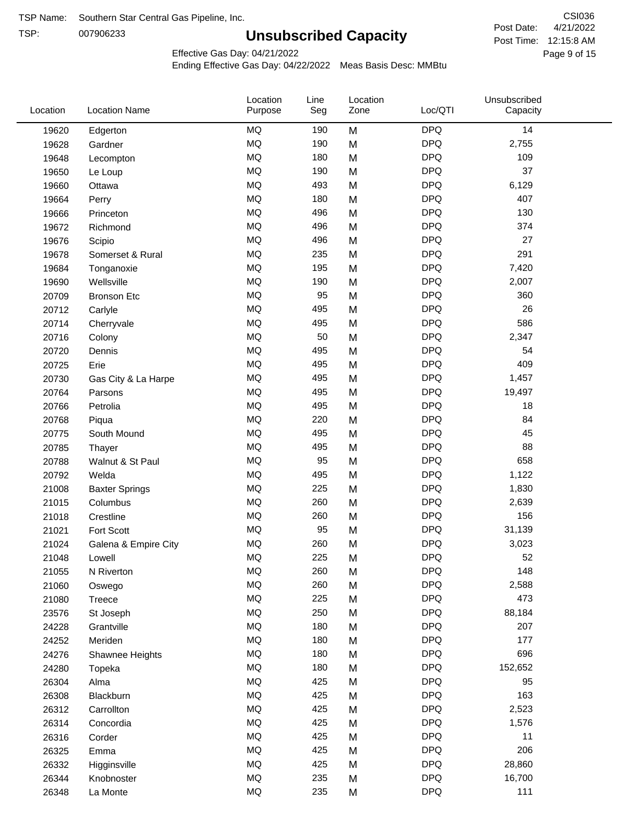TSP:

# **Unsubscribed Capacity**

4/21/2022 Page 9 of 15 Post Time: 12:15:8 AM CSI036 Post Date:

Effective Gas Day: 04/21/2022

| MQ<br><b>DPQ</b><br>14<br>190<br>M<br>19620<br>Edgerton<br>MQ<br><b>DPQ</b><br>190<br>2,755<br>M<br>19628<br>Gardner |  |
|----------------------------------------------------------------------------------------------------------------------|--|
|                                                                                                                      |  |
|                                                                                                                      |  |
| MQ<br><b>DPQ</b><br>109<br>180<br>M<br>19648<br>Lecompton                                                            |  |
| MQ<br><b>DPQ</b><br>37<br>190<br>M<br>19650<br>Le Loup                                                               |  |
| <b>MQ</b><br><b>DPQ</b><br>493<br>M<br>6,129<br>19660<br>Ottawa                                                      |  |
| MQ<br><b>DPQ</b><br>407<br>180<br>M<br>19664<br>Perry                                                                |  |
| MQ<br><b>DPQ</b><br>130<br>496<br>M<br>19666<br>Princeton                                                            |  |
| MQ<br><b>DPQ</b><br>374<br>496<br>19672<br>M<br>Richmond                                                             |  |
| <b>MQ</b><br><b>DPQ</b><br>27<br>496<br>M<br>19676<br>Scipio                                                         |  |
| <b>MQ</b><br>235<br><b>DPQ</b><br>291<br>M<br>19678<br>Somerset & Rural                                              |  |
| MQ<br><b>DPQ</b><br>195<br>7,420<br>M<br>19684<br>Tonganoxie                                                         |  |
| MQ<br><b>DPQ</b><br>190<br>M<br>2,007<br>Wellsville<br>19690                                                         |  |
| MQ<br>95<br><b>DPQ</b><br>360<br>20709<br>M<br><b>Bronson Etc</b>                                                    |  |
| <b>MQ</b><br><b>DPQ</b><br>26<br>495<br>M<br>20712<br>Carlyle                                                        |  |
| <b>MQ</b><br><b>DPQ</b><br>586<br>495<br>20714<br>M<br>Cherryvale                                                    |  |
| MQ<br>50<br><b>DPQ</b><br>M<br>2,347<br>20716<br>Colony                                                              |  |
| MQ<br><b>DPQ</b><br>54<br>495<br>20720<br>M<br>Dennis                                                                |  |
| MQ<br><b>DPQ</b><br>409<br>495<br>M<br>20725<br>Erie                                                                 |  |
| MQ<br><b>DPQ</b><br>495<br>M<br>1,457<br>20730<br>Gas City & La Harpe                                                |  |
| MQ<br><b>DPQ</b><br>495<br>M<br>19,497<br>20764<br>Parsons                                                           |  |
| MQ<br><b>DPQ</b><br>495<br>18<br>20766<br>Petrolia<br>M                                                              |  |
| MQ<br><b>DPQ</b><br>84<br>220<br>M<br>20768<br>Piqua                                                                 |  |
| <b>MQ</b><br><b>DPQ</b><br>45<br>495<br>20775<br>South Mound<br>M                                                    |  |
| <b>MQ</b><br><b>DPQ</b><br>88<br>495<br>M<br>20785<br>Thayer                                                         |  |
| MQ<br>95<br><b>DPQ</b><br>658<br>M<br>20788<br>Walnut & St Paul                                                      |  |
| MQ<br><b>DPQ</b><br>495<br>1,122<br>20792<br>M<br>Welda                                                              |  |
| MQ<br><b>DPQ</b><br>225<br>M<br>1,830<br>21008<br><b>Baxter Springs</b>                                              |  |
| MQ<br><b>DPQ</b><br>260<br>2,639<br>21015<br>Columbus<br>M                                                           |  |
| MQ<br><b>DPQ</b><br>156<br>260<br>M<br>21018<br>Crestline                                                            |  |
| MQ<br>95<br><b>DPQ</b><br>31,139<br>21021<br>Fort Scott<br>M                                                         |  |
| MQ<br>260<br><b>DPQ</b><br>M<br>3,023<br>21024<br>Galena & Empire City                                               |  |
| MQ<br>225<br><b>DPQ</b><br>52<br>21048<br>Μ<br>Lowell                                                                |  |
| MQ<br>260<br><b>DPQ</b><br>148<br>M<br>21055<br>N Riverton                                                           |  |
| MQ<br><b>DPQ</b><br>260<br>2,588<br>M<br>21060<br>Oswego                                                             |  |
| MQ<br><b>DPQ</b><br>473<br>225<br>M<br>21080<br>Treece                                                               |  |
| MQ<br>250<br><b>DPQ</b><br>88,184<br>23576<br>M<br>St Joseph                                                         |  |
| MQ<br>180<br><b>DPQ</b><br>24228<br>M<br>207<br>Grantville                                                           |  |
| MQ<br><b>DPQ</b><br>177<br>180<br>24252<br>M<br>Meriden                                                              |  |
| $\sf{MQ}$<br><b>DPQ</b><br>696<br>180<br>M<br>24276<br>Shawnee Heights                                               |  |
| MQ<br><b>DPQ</b><br>180<br>M<br>152,652<br>24280<br>Topeka                                                           |  |
| MQ<br><b>DPQ</b><br>425<br>95<br>26304<br>Alma<br>M                                                                  |  |
| MQ<br><b>DPQ</b><br>163<br>425<br>M<br>26308<br>Blackburn                                                            |  |
| MQ<br><b>DPQ</b><br>425<br>2,523<br>26312<br>M<br>Carrollton                                                         |  |
| MQ<br><b>DPQ</b><br>425<br>M<br>1,576<br>26314<br>Concordia                                                          |  |
| MQ<br><b>DPQ</b><br>425<br>11<br>26316<br>M<br>Corder                                                                |  |
| MQ<br><b>DPQ</b><br>206<br>425<br>26325<br>M<br>Emma                                                                 |  |
| MQ<br><b>DPQ</b><br>425<br>28,860<br>26332<br>M<br>Higginsville                                                      |  |
| MQ<br><b>DPQ</b><br>16,700<br>235<br>26344<br>M<br>Knobnoster                                                        |  |
| MQ<br><b>DPQ</b><br>111<br>235<br>26348<br>M<br>La Monte                                                             |  |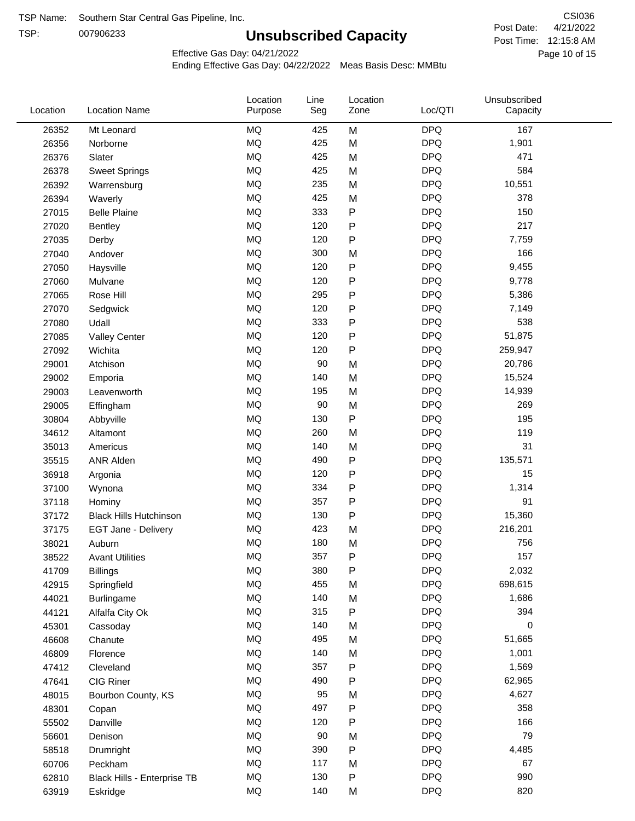TSP:

# **Unsubscribed Capacity**

4/21/2022 Page 10 of 15 Post Time: 12:15:8 AM CSI036 Post Date:

Unsubscribed

Effective Gas Day: 04/21/2022

Location

Ending Effective Gas Day: 04/22/2022 Meas Basis Desc: MMBtu

Line

Location

| Location | <b>Location Name</b>          | Purpose   | Seg | Zone | Loc/QTI    | Capacity |  |
|----------|-------------------------------|-----------|-----|------|------------|----------|--|
| 26352    | Mt Leonard                    | <b>MQ</b> | 425 | M    | <b>DPQ</b> | 167      |  |
| 26356    | Norborne                      | MQ        | 425 | M    | <b>DPQ</b> | 1,901    |  |
| 26376    | Slater                        | <b>MQ</b> | 425 | M    | <b>DPQ</b> | 471      |  |
| 26378    | <b>Sweet Springs</b>          | MQ        | 425 | M    | <b>DPQ</b> | 584      |  |
| 26392    | Warrensburg                   | $\sf{MQ}$ | 235 | M    | <b>DPQ</b> | 10,551   |  |
| 26394    | Waverly                       | <b>MQ</b> | 425 | M    | <b>DPQ</b> | 378      |  |
| 27015    | <b>Belle Plaine</b>           | MQ        | 333 | P    | <b>DPQ</b> | 150      |  |
| 27020    | <b>Bentley</b>                | MQ        | 120 | P    | <b>DPQ</b> | 217      |  |
| 27035    | Derby                         | MQ        | 120 | P    | <b>DPQ</b> | 7,759    |  |
| 27040    | Andover                       | <b>MQ</b> | 300 | M    | <b>DPQ</b> | 166      |  |
| 27050    | Haysville                     | $\sf{MQ}$ | 120 | P    | <b>DPQ</b> | 9,455    |  |
| 27060    | Mulvane                       | MQ        | 120 | P    | <b>DPQ</b> | 9,778    |  |
| 27065    | Rose Hill                     | MQ        | 295 | P    | <b>DPQ</b> | 5,386    |  |
| 27070    | Sedgwick                      | <b>MQ</b> | 120 | P    | <b>DPQ</b> | 7,149    |  |
| 27080    | Udall                         | <b>MQ</b> | 333 | P    | <b>DPQ</b> | 538      |  |
| 27085    | <b>Valley Center</b>          | MQ        | 120 | P    | <b>DPQ</b> | 51,875   |  |
| 27092    | Wichita                       | MQ        | 120 | P    | <b>DPQ</b> | 259,947  |  |
| 29001    | Atchison                      | <b>MQ</b> | 90  | M    | <b>DPQ</b> | 20,786   |  |
| 29002    | Emporia                       | $\sf{MQ}$ | 140 | M    | <b>DPQ</b> | 15,524   |  |
| 29003    | Leavenworth                   | $\sf{MQ}$ | 195 | M    | <b>DPQ</b> | 14,939   |  |
| 29005    | Effingham                     | <b>MQ</b> | 90  | M    | <b>DPQ</b> | 269      |  |
| 30804    | Abbyville                     | MQ        | 130 | P    | <b>DPQ</b> | 195      |  |
| 34612    | Altamont                      | MQ        | 260 | M    | <b>DPQ</b> | 119      |  |
| 35013    | Americus                      | <b>MQ</b> | 140 | M    | <b>DPQ</b> | 31       |  |
| 35515    | <b>ANR Alden</b>              | $\sf{MQ}$ | 490 | P    | <b>DPQ</b> | 135,571  |  |
| 36918    | Argonia                       | MQ        | 120 | P    | <b>DPQ</b> | 15       |  |
| 37100    | Wynona                        | MQ        | 334 | P    | <b>DPQ</b> | 1,314    |  |
| 37118    | Hominy                        | <b>MQ</b> | 357 | P    | <b>DPQ</b> | 91       |  |
| 37172    | <b>Black Hills Hutchinson</b> | MQ        | 130 | P    | <b>DPQ</b> | 15,360   |  |
| 37175    | EGT Jane - Delivery           | MQ        | 423 | M    | <b>DPQ</b> | 216,201  |  |
| 38021    | Auburn                        | <b>MQ</b> | 180 | M    | <b>DPQ</b> | 756      |  |
| 38522    | <b>Avant Utilities</b>        | <b>MQ</b> | 357 | P    | <b>DPQ</b> | 157      |  |
| 41709    | <b>Billings</b>               | MQ        | 380 | P    | <b>DPQ</b> | 2,032    |  |
| 42915    | Springfield                   | MQ        | 455 | M    | <b>DPQ</b> | 698,615  |  |
| 44021    | Burlingame                    | MQ        | 140 | M    | <b>DPQ</b> | 1,686    |  |
| 44121    | Alfalfa City Ok               | MQ        | 315 | P    | <b>DPQ</b> | 394      |  |
| 45301    | Cassoday                      | MQ        | 140 | M    | <b>DPQ</b> | 0        |  |
| 46608    | Chanute                       | MQ        | 495 | M    | <b>DPQ</b> | 51,665   |  |
| 46809    | Florence                      | MQ        | 140 | M    | <b>DPQ</b> | 1,001    |  |
| 47412    | Cleveland                     | MQ        | 357 | P    | <b>DPQ</b> | 1,569    |  |
| 47641    | CIG Riner                     | MQ        | 490 | P    | <b>DPQ</b> | 62,965   |  |
| 48015    | Bourbon County, KS            | MQ        | 95  | M    | <b>DPQ</b> | 4,627    |  |
| 48301    | Copan                         | MQ        | 497 | P    | <b>DPQ</b> | 358      |  |
| 55502    | Danville                      | $\sf{MQ}$ | 120 | Ρ    | <b>DPQ</b> | 166      |  |
| 56601    | Denison                       | MQ        | 90  | M    | <b>DPQ</b> | 79       |  |
| 58518    | Drumright                     | MQ        | 390 | P    | <b>DPQ</b> | 4,485    |  |
| 60706    | Peckham                       | MQ        | 117 | M    | <b>DPQ</b> | 67       |  |
| 62810    | Black Hills - Enterprise TB   | MQ        | 130 | P    | <b>DPQ</b> | 990      |  |
| 63919    | Eskridge                      | MQ        | 140 | M    | <b>DPQ</b> | 820      |  |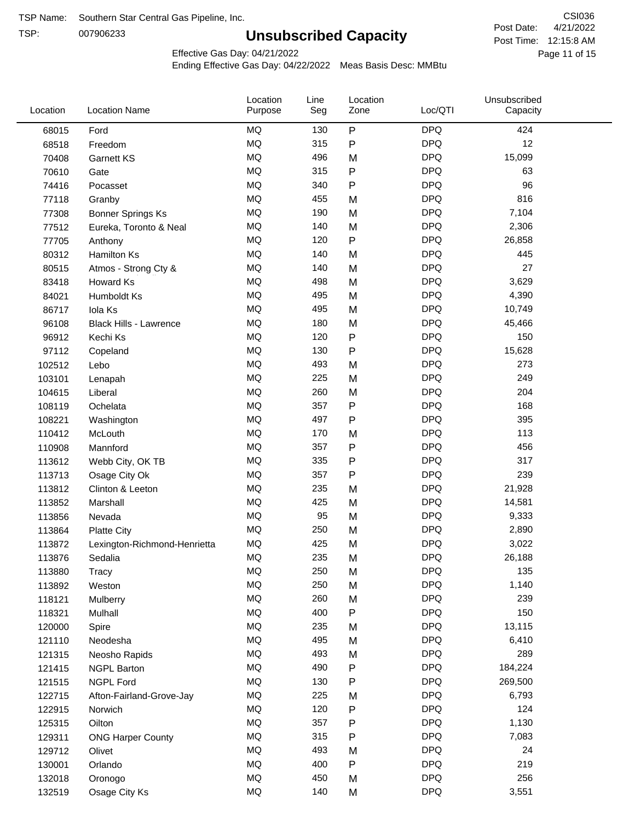TSP:

# **Unsubscribed Capacity**

4/21/2022 Page 11 of 15 Post Time: 12:15:8 AM CSI036 Post Date:

Unsubscribed

Effective Gas Day: 04/21/2022

Location

Ending Effective Gas Day: 04/22/2022 Meas Basis Desc: MMBtu

Line

Location

| Location | <b>Location Name</b>          | Purpose   | Seg | Zone | Loc/QTI    | Capacity |  |
|----------|-------------------------------|-----------|-----|------|------------|----------|--|
| 68015    | Ford                          | MQ        | 130 | P    | <b>DPQ</b> | 424      |  |
| 68518    | Freedom                       | MQ        | 315 | P    | <b>DPQ</b> | 12       |  |
| 70408    | <b>Garnett KS</b>             | MQ        | 496 | M    | <b>DPQ</b> | 15,099   |  |
| 70610    | Gate                          | <b>MQ</b> | 315 | P    | <b>DPQ</b> | 63       |  |
| 74416    | Pocasset                      | <b>MQ</b> | 340 | P    | <b>DPQ</b> | 96       |  |
| 77118    | Granby                        | MQ        | 455 | M    | <b>DPQ</b> | 816      |  |
| 77308    | <b>Bonner Springs Ks</b>      | MQ        | 190 | M    | <b>DPQ</b> | 7,104    |  |
| 77512    | Eureka, Toronto & Neal        | MQ        | 140 | M    | <b>DPQ</b> | 2,306    |  |
| 77705    | Anthony                       | MQ        | 120 | P    | <b>DPQ</b> | 26,858   |  |
| 80312    | Hamilton Ks                   | MQ        | 140 | M    | <b>DPQ</b> | 445      |  |
| 80515    | Atmos - Strong Cty &          | MQ        | 140 | M    | <b>DPQ</b> | 27       |  |
| 83418    | Howard Ks                     | MQ        | 498 | M    | <b>DPQ</b> | 3,629    |  |
| 84021    | Humboldt Ks                   | MQ        | 495 | M    | <b>DPQ</b> | 4,390    |  |
| 86717    | Iola Ks                       | <b>MQ</b> | 495 | M    | <b>DPQ</b> | 10,749   |  |
| 96108    | <b>Black Hills - Lawrence</b> | MQ        | 180 | M    | <b>DPQ</b> | 45,466   |  |
| 96912    | Kechi Ks                      | MQ        | 120 | P    | <b>DPQ</b> | 150      |  |
| 97112    | Copeland                      | MQ        | 130 | Ρ    | <b>DPQ</b> | 15,628   |  |
| 102512   | Lebo                          | <b>MQ</b> | 493 | M    | <b>DPQ</b> | 273      |  |
| 103101   | Lenapah                       | <b>MQ</b> | 225 | M    | <b>DPQ</b> | 249      |  |
| 104615   | Liberal                       | MQ        | 260 | M    | <b>DPQ</b> | 204      |  |
| 108119   | Ochelata                      | MQ        | 357 | P    | <b>DPQ</b> | 168      |  |
| 108221   | Washington                    | MQ        | 497 | P    | <b>DPQ</b> | 395      |  |
| 110412   | McLouth                       | MQ        | 170 | M    | <b>DPQ</b> | 113      |  |
| 110908   | Mannford                      | MQ        | 357 | P    | <b>DPQ</b> | 456      |  |
| 113612   | Webb City, OK TB              | MQ        | 335 | P    | <b>DPQ</b> | 317      |  |
| 113713   | Osage City Ok                 | MQ        | 357 | P    | <b>DPQ</b> | 239      |  |
| 113812   | Clinton & Leeton              | <b>MQ</b> | 235 | M    | <b>DPQ</b> | 21,928   |  |
| 113852   | Marshall                      | MQ        | 425 | M    | <b>DPQ</b> | 14,581   |  |
| 113856   | Nevada                        | MQ        | 95  | M    | <b>DPQ</b> | 9,333    |  |
| 113864   | <b>Platte City</b>            | $\sf{MQ}$ | 250 | M    | <b>DPQ</b> | 2,890    |  |
| 113872   | Lexington-Richmond-Henrietta  | MQ        | 425 | M    | <b>DPQ</b> | 3,022    |  |
| 113876   | Sedalia                       | MQ        | 235 | M    | <b>DPQ</b> | 26,188   |  |
| 113880   | Tracy                         | $\sf{MQ}$ | 250 | M    | <b>DPQ</b> | 135      |  |
| 113892   | Weston                        | MQ        | 250 | M    | <b>DPQ</b> | 1,140    |  |
| 118121   | Mulberry                      | MQ        | 260 | M    | <b>DPQ</b> | 239      |  |
| 118321   | Mulhall                       | MQ        | 400 | P    | <b>DPQ</b> | 150      |  |
| 120000   | Spire                         | MQ        | 235 | M    | <b>DPQ</b> | 13,115   |  |
| 121110   | Neodesha                      | MQ        | 495 | M    | <b>DPQ</b> | 6,410    |  |
| 121315   | Neosho Rapids                 | MQ        | 493 | M    | <b>DPQ</b> | 289      |  |
| 121415   | <b>NGPL Barton</b>            | MQ        | 490 | P    | <b>DPQ</b> | 184,224  |  |
| 121515   | <b>NGPL Ford</b>              | MQ        | 130 | P    | <b>DPQ</b> | 269,500  |  |
| 122715   | Afton-Fairland-Grove-Jay      | MQ        | 225 | M    | <b>DPQ</b> | 6,793    |  |
| 122915   | Norwich                       | MQ        | 120 | P    | <b>DPQ</b> | 124      |  |
| 125315   | Oilton                        | MQ        | 357 | P    | <b>DPQ</b> | 1,130    |  |
| 129311   | <b>ONG Harper County</b>      | MQ        | 315 | P    | <b>DPQ</b> | 7,083    |  |
| 129712   | Olivet                        | MQ        | 493 | M    | <b>DPQ</b> | 24       |  |
| 130001   | Orlando                       | MQ        | 400 | P    | <b>DPQ</b> | 219      |  |
| 132018   | Oronogo                       | $\sf{MQ}$ | 450 | M    | <b>DPQ</b> | 256      |  |
| 132519   | Osage City Ks                 | $\sf{MQ}$ | 140 | M    | <b>DPQ</b> | 3,551    |  |
|          |                               |           |     |      |            |          |  |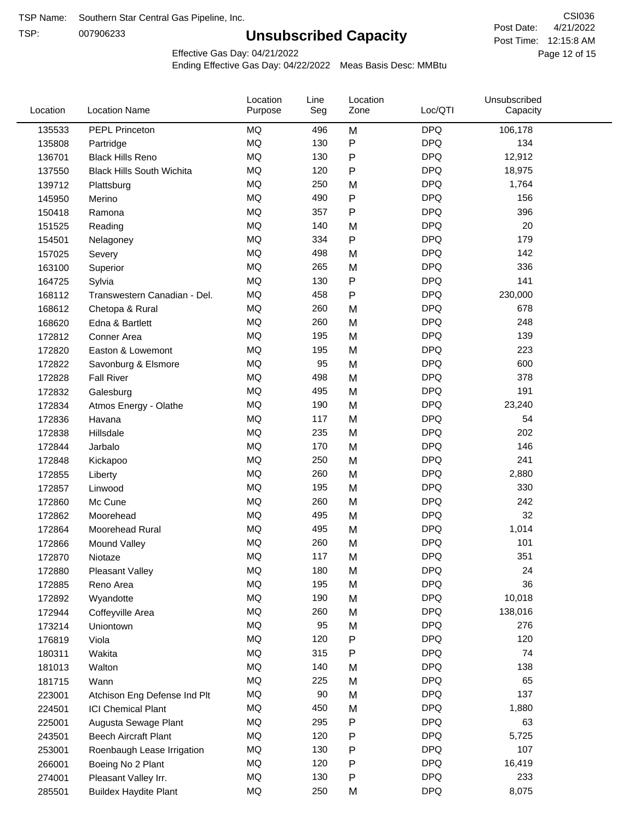TSP:

# **Unsubscribed Capacity**

4/21/2022 Page 12 of 15 Post Time: 12:15:8 AM CSI036 Post Date:

Effective Gas Day: 04/21/2022

| <b>MQ</b><br><b>DPQ</b><br>135533<br><b>PEPL Princeton</b><br>496<br>M<br>106,178<br>MQ<br>${\sf P}$<br><b>DPQ</b><br>130<br>134<br>135808<br>Partridge<br>P<br><b>DPQ</b><br>MQ<br>130<br>12,912<br>136701<br><b>Black Hills Reno</b><br>MQ<br><b>DPQ</b><br>120<br>P<br>18,975<br>137550<br><b>Black Hills South Wichita</b><br><b>MQ</b><br><b>DPQ</b><br>250<br>1,764<br>139712<br>M<br>Plattsburg<br><b>MQ</b><br><b>DPQ</b><br>490<br>P<br>156<br>145950<br>Merino<br><b>MQ</b><br>P<br><b>DPQ</b><br>396<br>357<br>150418<br>Ramona<br><b>MQ</b><br><b>DPQ</b><br>20<br>140<br>M<br>151525<br>Reading<br><b>MQ</b><br><b>DPQ</b><br>334<br>P<br>179<br>154501<br>Nelagoney<br><b>MQ</b><br><b>DPQ</b><br>142<br>498<br>M<br>157025<br>Severy<br>MQ<br><b>DPQ</b><br>336<br>265<br>M<br>163100<br>Superior<br>MQ<br>P<br><b>DPQ</b><br>141<br>130<br>164725<br>Sylvia<br>MQ<br>P<br><b>DPQ</b><br>458<br>230,000<br>168112<br>Transwestern Canadian - Del.<br><b>MQ</b><br>260<br><b>DPQ</b><br>678<br>M<br>168612<br>Chetopa & Rural<br><b>MQ</b><br><b>DPQ</b><br>248<br>260<br>M<br>168620<br>Edna & Bartlett<br><b>MQ</b><br><b>DPQ</b><br>195<br>M<br>139<br>172812<br>Conner Area<br>MQ<br><b>DPQ</b><br>195<br>223<br>Easton & Lowemont<br>M<br>172820<br><b>DPQ</b><br>600<br>MQ<br>95<br>M<br>172822<br>Savonburg & Elsmore<br><b>MQ</b><br><b>DPQ</b><br>378<br>498<br>M<br>172828<br><b>Fall River</b><br>MQ<br><b>DPQ</b><br>191<br>495<br>M<br>172832<br>Galesburg<br>MQ<br><b>DPQ</b><br>190 |  |
|------------------------------------------------------------------------------------------------------------------------------------------------------------------------------------------------------------------------------------------------------------------------------------------------------------------------------------------------------------------------------------------------------------------------------------------------------------------------------------------------------------------------------------------------------------------------------------------------------------------------------------------------------------------------------------------------------------------------------------------------------------------------------------------------------------------------------------------------------------------------------------------------------------------------------------------------------------------------------------------------------------------------------------------------------------------------------------------------------------------------------------------------------------------------------------------------------------------------------------------------------------------------------------------------------------------------------------------------------------------------------------------------------------------------------------------------------------------------------------------------------------------|--|
|                                                                                                                                                                                                                                                                                                                                                                                                                                                                                                                                                                                                                                                                                                                                                                                                                                                                                                                                                                                                                                                                                                                                                                                                                                                                                                                                                                                                                                                                                                                  |  |
|                                                                                                                                                                                                                                                                                                                                                                                                                                                                                                                                                                                                                                                                                                                                                                                                                                                                                                                                                                                                                                                                                                                                                                                                                                                                                                                                                                                                                                                                                                                  |  |
|                                                                                                                                                                                                                                                                                                                                                                                                                                                                                                                                                                                                                                                                                                                                                                                                                                                                                                                                                                                                                                                                                                                                                                                                                                                                                                                                                                                                                                                                                                                  |  |
|                                                                                                                                                                                                                                                                                                                                                                                                                                                                                                                                                                                                                                                                                                                                                                                                                                                                                                                                                                                                                                                                                                                                                                                                                                                                                                                                                                                                                                                                                                                  |  |
|                                                                                                                                                                                                                                                                                                                                                                                                                                                                                                                                                                                                                                                                                                                                                                                                                                                                                                                                                                                                                                                                                                                                                                                                                                                                                                                                                                                                                                                                                                                  |  |
|                                                                                                                                                                                                                                                                                                                                                                                                                                                                                                                                                                                                                                                                                                                                                                                                                                                                                                                                                                                                                                                                                                                                                                                                                                                                                                                                                                                                                                                                                                                  |  |
|                                                                                                                                                                                                                                                                                                                                                                                                                                                                                                                                                                                                                                                                                                                                                                                                                                                                                                                                                                                                                                                                                                                                                                                                                                                                                                                                                                                                                                                                                                                  |  |
|                                                                                                                                                                                                                                                                                                                                                                                                                                                                                                                                                                                                                                                                                                                                                                                                                                                                                                                                                                                                                                                                                                                                                                                                                                                                                                                                                                                                                                                                                                                  |  |
|                                                                                                                                                                                                                                                                                                                                                                                                                                                                                                                                                                                                                                                                                                                                                                                                                                                                                                                                                                                                                                                                                                                                                                                                                                                                                                                                                                                                                                                                                                                  |  |
|                                                                                                                                                                                                                                                                                                                                                                                                                                                                                                                                                                                                                                                                                                                                                                                                                                                                                                                                                                                                                                                                                                                                                                                                                                                                                                                                                                                                                                                                                                                  |  |
|                                                                                                                                                                                                                                                                                                                                                                                                                                                                                                                                                                                                                                                                                                                                                                                                                                                                                                                                                                                                                                                                                                                                                                                                                                                                                                                                                                                                                                                                                                                  |  |
|                                                                                                                                                                                                                                                                                                                                                                                                                                                                                                                                                                                                                                                                                                                                                                                                                                                                                                                                                                                                                                                                                                                                                                                                                                                                                                                                                                                                                                                                                                                  |  |
|                                                                                                                                                                                                                                                                                                                                                                                                                                                                                                                                                                                                                                                                                                                                                                                                                                                                                                                                                                                                                                                                                                                                                                                                                                                                                                                                                                                                                                                                                                                  |  |
|                                                                                                                                                                                                                                                                                                                                                                                                                                                                                                                                                                                                                                                                                                                                                                                                                                                                                                                                                                                                                                                                                                                                                                                                                                                                                                                                                                                                                                                                                                                  |  |
|                                                                                                                                                                                                                                                                                                                                                                                                                                                                                                                                                                                                                                                                                                                                                                                                                                                                                                                                                                                                                                                                                                                                                                                                                                                                                                                                                                                                                                                                                                                  |  |
|                                                                                                                                                                                                                                                                                                                                                                                                                                                                                                                                                                                                                                                                                                                                                                                                                                                                                                                                                                                                                                                                                                                                                                                                                                                                                                                                                                                                                                                                                                                  |  |
|                                                                                                                                                                                                                                                                                                                                                                                                                                                                                                                                                                                                                                                                                                                                                                                                                                                                                                                                                                                                                                                                                                                                                                                                                                                                                                                                                                                                                                                                                                                  |  |
|                                                                                                                                                                                                                                                                                                                                                                                                                                                                                                                                                                                                                                                                                                                                                                                                                                                                                                                                                                                                                                                                                                                                                                                                                                                                                                                                                                                                                                                                                                                  |  |
|                                                                                                                                                                                                                                                                                                                                                                                                                                                                                                                                                                                                                                                                                                                                                                                                                                                                                                                                                                                                                                                                                                                                                                                                                                                                                                                                                                                                                                                                                                                  |  |
|                                                                                                                                                                                                                                                                                                                                                                                                                                                                                                                                                                                                                                                                                                                                                                                                                                                                                                                                                                                                                                                                                                                                                                                                                                                                                                                                                                                                                                                                                                                  |  |
| 23,240<br>M<br>172834<br>Atmos Energy - Olathe                                                                                                                                                                                                                                                                                                                                                                                                                                                                                                                                                                                                                                                                                                                                                                                                                                                                                                                                                                                                                                                                                                                                                                                                                                                                                                                                                                                                                                                                   |  |
| <b>MQ</b><br><b>DPQ</b><br>117<br>M<br>54<br>172836<br>Havana                                                                                                                                                                                                                                                                                                                                                                                                                                                                                                                                                                                                                                                                                                                                                                                                                                                                                                                                                                                                                                                                                                                                                                                                                                                                                                                                                                                                                                                    |  |
| <b>MQ</b><br><b>DPQ</b><br>202<br>235<br>M<br>172838<br>Hillsdale                                                                                                                                                                                                                                                                                                                                                                                                                                                                                                                                                                                                                                                                                                                                                                                                                                                                                                                                                                                                                                                                                                                                                                                                                                                                                                                                                                                                                                                |  |
| <b>MQ</b><br><b>DPQ</b><br>146<br>170<br>M<br>172844<br>Jarbalo                                                                                                                                                                                                                                                                                                                                                                                                                                                                                                                                                                                                                                                                                                                                                                                                                                                                                                                                                                                                                                                                                                                                                                                                                                                                                                                                                                                                                                                  |  |
| <b>MQ</b><br><b>DPQ</b><br>241<br>250<br>M<br>172848<br>Kickapoo                                                                                                                                                                                                                                                                                                                                                                                                                                                                                                                                                                                                                                                                                                                                                                                                                                                                                                                                                                                                                                                                                                                                                                                                                                                                                                                                                                                                                                                 |  |
| MQ<br><b>DPQ</b><br>260<br>2,880<br>M<br>172855<br>Liberty                                                                                                                                                                                                                                                                                                                                                                                                                                                                                                                                                                                                                                                                                                                                                                                                                                                                                                                                                                                                                                                                                                                                                                                                                                                                                                                                                                                                                                                       |  |
| MQ<br><b>DPQ</b><br>330<br>195<br>M<br>172857<br>Linwood                                                                                                                                                                                                                                                                                                                                                                                                                                                                                                                                                                                                                                                                                                                                                                                                                                                                                                                                                                                                                                                                                                                                                                                                                                                                                                                                                                                                                                                         |  |
| <b>MQ</b><br><b>DPQ</b><br>242<br>260<br>M<br>172860<br>Mc Cune                                                                                                                                                                                                                                                                                                                                                                                                                                                                                                                                                                                                                                                                                                                                                                                                                                                                                                                                                                                                                                                                                                                                                                                                                                                                                                                                                                                                                                                  |  |
| <b>MQ</b><br>M<br><b>DPQ</b><br>32<br>495<br>172862<br>Moorehead                                                                                                                                                                                                                                                                                                                                                                                                                                                                                                                                                                                                                                                                                                                                                                                                                                                                                                                                                                                                                                                                                                                                                                                                                                                                                                                                                                                                                                                 |  |
| MQ<br><b>DPQ</b><br>495<br>1,014<br>M<br>172864<br>Moorehead Rural                                                                                                                                                                                                                                                                                                                                                                                                                                                                                                                                                                                                                                                                                                                                                                                                                                                                                                                                                                                                                                                                                                                                                                                                                                                                                                                                                                                                                                               |  |
| <b>MQ</b><br>260<br>M<br><b>DPQ</b><br>101<br>172866<br>Mound Valley                                                                                                                                                                                                                                                                                                                                                                                                                                                                                                                                                                                                                                                                                                                                                                                                                                                                                                                                                                                                                                                                                                                                                                                                                                                                                                                                                                                                                                             |  |
| MQ<br><b>DPQ</b><br>351<br>117<br>172870<br>M<br>Niotaze                                                                                                                                                                                                                                                                                                                                                                                                                                                                                                                                                                                                                                                                                                                                                                                                                                                                                                                                                                                                                                                                                                                                                                                                                                                                                                                                                                                                                                                         |  |
| MQ<br>180<br><b>DPQ</b><br>24<br>M<br>172880<br><b>Pleasant Valley</b>                                                                                                                                                                                                                                                                                                                                                                                                                                                                                                                                                                                                                                                                                                                                                                                                                                                                                                                                                                                                                                                                                                                                                                                                                                                                                                                                                                                                                                           |  |
| MQ<br><b>DPQ</b><br>36<br>195<br>M<br>Reno Area<br>172885                                                                                                                                                                                                                                                                                                                                                                                                                                                                                                                                                                                                                                                                                                                                                                                                                                                                                                                                                                                                                                                                                                                                                                                                                                                                                                                                                                                                                                                        |  |
| MQ<br><b>DPQ</b><br>190<br>M<br>10,018<br>172892<br>Wyandotte                                                                                                                                                                                                                                                                                                                                                                                                                                                                                                                                                                                                                                                                                                                                                                                                                                                                                                                                                                                                                                                                                                                                                                                                                                                                                                                                                                                                                                                    |  |
| MQ<br>260<br><b>DPQ</b><br>138,016<br>172944<br>Coffeyville Area<br>M                                                                                                                                                                                                                                                                                                                                                                                                                                                                                                                                                                                                                                                                                                                                                                                                                                                                                                                                                                                                                                                                                                                                                                                                                                                                                                                                                                                                                                            |  |
| MQ<br><b>DPQ</b><br>95<br>276<br>M<br>173214<br>Uniontown                                                                                                                                                                                                                                                                                                                                                                                                                                                                                                                                                                                                                                                                                                                                                                                                                                                                                                                                                                                                                                                                                                                                                                                                                                                                                                                                                                                                                                                        |  |
| MQ<br>P<br><b>DPQ</b><br>120<br>120<br>176819<br>Viola                                                                                                                                                                                                                                                                                                                                                                                                                                                                                                                                                                                                                                                                                                                                                                                                                                                                                                                                                                                                                                                                                                                                                                                                                                                                                                                                                                                                                                                           |  |
| MQ<br><b>DPQ</b><br>315<br>P<br>74<br>180311<br>Wakita                                                                                                                                                                                                                                                                                                                                                                                                                                                                                                                                                                                                                                                                                                                                                                                                                                                                                                                                                                                                                                                                                                                                                                                                                                                                                                                                                                                                                                                           |  |
| <b>DPQ</b><br>MQ<br>140<br>138<br>181013<br>Walton<br>M                                                                                                                                                                                                                                                                                                                                                                                                                                                                                                                                                                                                                                                                                                                                                                                                                                                                                                                                                                                                                                                                                                                                                                                                                                                                                                                                                                                                                                                          |  |
| <b>DPQ</b><br>65<br>MQ<br>225<br>181715<br>Wann<br>M                                                                                                                                                                                                                                                                                                                                                                                                                                                                                                                                                                                                                                                                                                                                                                                                                                                                                                                                                                                                                                                                                                                                                                                                                                                                                                                                                                                                                                                             |  |
| MQ<br><b>DPQ</b><br>90<br>137<br>M<br>223001<br>Atchison Eng Defense Ind Plt                                                                                                                                                                                                                                                                                                                                                                                                                                                                                                                                                                                                                                                                                                                                                                                                                                                                                                                                                                                                                                                                                                                                                                                                                                                                                                                                                                                                                                     |  |
| MQ<br><b>DPQ</b><br>450<br>1,880<br>224501<br><b>ICI Chemical Plant</b><br>M                                                                                                                                                                                                                                                                                                                                                                                                                                                                                                                                                                                                                                                                                                                                                                                                                                                                                                                                                                                                                                                                                                                                                                                                                                                                                                                                                                                                                                     |  |
| MQ<br><b>DPQ</b><br>295<br>P<br>63<br>225001<br>Augusta Sewage Plant                                                                                                                                                                                                                                                                                                                                                                                                                                                                                                                                                                                                                                                                                                                                                                                                                                                                                                                                                                                                                                                                                                                                                                                                                                                                                                                                                                                                                                             |  |
| <b>DPQ</b><br>MQ<br>120<br>P<br>5,725<br>243501<br><b>Beech Aircraft Plant</b>                                                                                                                                                                                                                                                                                                                                                                                                                                                                                                                                                                                                                                                                                                                                                                                                                                                                                                                                                                                                                                                                                                                                                                                                                                                                                                                                                                                                                                   |  |
| P<br><b>DPQ</b><br>107<br>MQ<br>130<br>253001<br>Roenbaugh Lease Irrigation                                                                                                                                                                                                                                                                                                                                                                                                                                                                                                                                                                                                                                                                                                                                                                                                                                                                                                                                                                                                                                                                                                                                                                                                                                                                                                                                                                                                                                      |  |
| <b>DPQ</b><br>MQ<br>120<br>P<br>16,419<br>266001<br>Boeing No 2 Plant                                                                                                                                                                                                                                                                                                                                                                                                                                                                                                                                                                                                                                                                                                                                                                                                                                                                                                                                                                                                                                                                                                                                                                                                                                                                                                                                                                                                                                            |  |
| ${\sf P}$<br><b>DPQ</b><br>MQ<br>130<br>233<br>Pleasant Valley Irr.<br>274001                                                                                                                                                                                                                                                                                                                                                                                                                                                                                                                                                                                                                                                                                                                                                                                                                                                                                                                                                                                                                                                                                                                                                                                                                                                                                                                                                                                                                                    |  |
| <b>DPQ</b><br>MQ<br>250<br>8,075<br><b>Buildex Haydite Plant</b><br>M<br>285501                                                                                                                                                                                                                                                                                                                                                                                                                                                                                                                                                                                                                                                                                                                                                                                                                                                                                                                                                                                                                                                                                                                                                                                                                                                                                                                                                                                                                                  |  |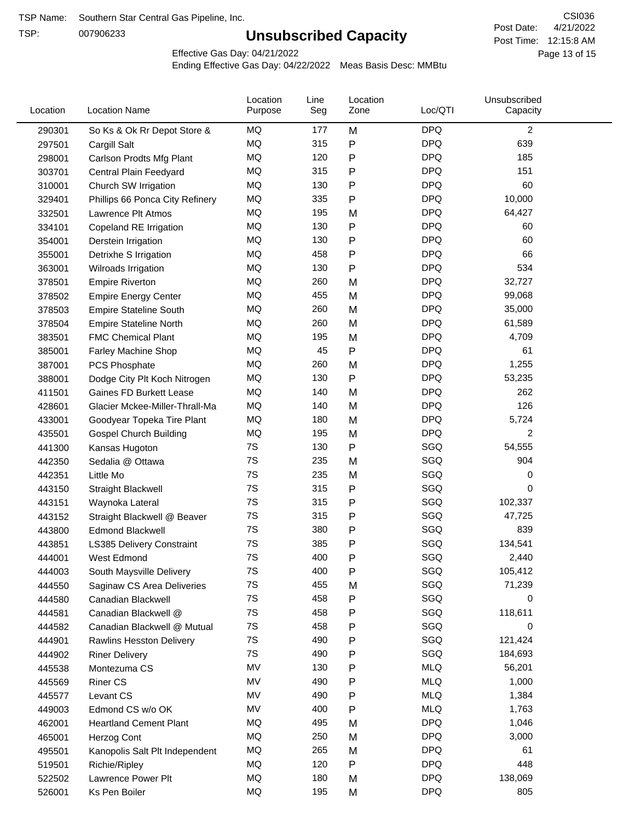TSP:

# **Unsubscribed Capacity**

4/21/2022 Page 13 of 15 Post Time: 12:15:8 AM CSI036 Post Date:

Effective Gas Day: 04/21/2022

| Location | <b>Location Name</b>             | Location<br>Purpose | Line<br>Seg | Location<br>Zone | Loc/QTI    | Unsubscribed<br>Capacity |  |
|----------|----------------------------------|---------------------|-------------|------------------|------------|--------------------------|--|
| 290301   | So Ks & Ok Rr Depot Store &      | MQ                  | 177         | M                | <b>DPQ</b> | $\overline{c}$           |  |
| 297501   | Cargill Salt                     | MQ                  | 315         | P                | <b>DPQ</b> | 639                      |  |
| 298001   | Carlson Prodts Mfg Plant         | <b>MQ</b>           | 120         | P                | <b>DPQ</b> | 185                      |  |
| 303701   | Central Plain Feedyard           | MQ                  | 315         | P                | <b>DPQ</b> | 151                      |  |
| 310001   | Church SW Irrigation             | MQ                  | 130         | P                | <b>DPQ</b> | 60                       |  |
| 329401   | Phillips 66 Ponca City Refinery  | MQ                  | 335         | $\mathsf{P}$     | <b>DPQ</b> | 10,000                   |  |
| 332501   | Lawrence Plt Atmos               | MQ                  | 195         | M                | <b>DPQ</b> | 64,427                   |  |
| 334101   | Copeland RE Irrigation           | MQ                  | 130         | P                | <b>DPQ</b> | 60                       |  |
| 354001   | Derstein Irrigation              | MQ                  | 130         | P                | <b>DPQ</b> | 60                       |  |
| 355001   | Detrixhe S Irrigation            | MQ                  | 458         | P                | <b>DPQ</b> | 66                       |  |
| 363001   | Wilroads Irrigation              | MQ                  | 130         | $\mathsf{P}$     | <b>DPQ</b> | 534                      |  |
| 378501   | <b>Empire Riverton</b>           | <b>MQ</b>           | 260         | M                | <b>DPQ</b> | 32,727                   |  |
| 378502   | <b>Empire Energy Center</b>      | <b>MQ</b>           | 455         | M                | <b>DPQ</b> | 99,068                   |  |
| 378503   | <b>Empire Stateline South</b>    | <b>MQ</b>           | 260         | M                | <b>DPQ</b> | 35,000                   |  |
| 378504   | <b>Empire Stateline North</b>    | MQ                  | 260         | M                | <b>DPQ</b> | 61,589                   |  |
| 383501   | <b>FMC Chemical Plant</b>        | MQ                  | 195         | M                | <b>DPQ</b> | 4,709                    |  |
| 385001   | Farley Machine Shop              | MQ                  | 45          | ${\sf P}$        | <b>DPQ</b> | 61                       |  |
| 387001   | PCS Phosphate                    | MQ                  | 260         | M                | <b>DPQ</b> | 1,255                    |  |
| 388001   | Dodge City Plt Koch Nitrogen     | MQ                  | 130         | P                | <b>DPQ</b> | 53,235                   |  |
| 411501   | Gaines FD Burkett Lease          | MQ                  | 140         | M                | <b>DPQ</b> | 262                      |  |
| 428601   | Glacier Mckee-Miller-Thrall-Ma   | <b>MQ</b>           | 140         | M                | <b>DPQ</b> | 126                      |  |
| 433001   | Goodyear Topeka Tire Plant       | <b>MQ</b>           | 180         | M                | <b>DPQ</b> | 5,724                    |  |
| 435501   | <b>Gospel Church Building</b>    | MQ                  | 195         | M                | <b>DPQ</b> | 2                        |  |
| 441300   | Kansas Hugoton                   | 7S                  | 130         | ${\sf P}$        | SGQ        | 54,555                   |  |
| 442350   | Sedalia @ Ottawa                 | 7S                  | 235         | M                | SGQ        | 904                      |  |
| 442351   | Little Mo                        | 7S                  | 235         | M                | SGQ        | 0                        |  |
| 443150   | Straight Blackwell               | 7S                  | 315         | P                | SGQ        | 0                        |  |
| 443151   | Waynoka Lateral                  | 7S                  | 315         | P                | SGQ        | 102,337                  |  |
| 443152   | Straight Blackwell @ Beaver      | 7S                  | 315         | P                | SGQ        | 47,725                   |  |
| 443800   | <b>Edmond Blackwell</b>          | 7S                  | 380         | P                | SGQ        | 839                      |  |
| 443851   | <b>LS385 Delivery Constraint</b> | 7S                  | 385         | P                | SGQ        | 134,541                  |  |
| 444001   | West Edmond                      | 7S                  | 400         | P                | SGQ        | 2,440                    |  |
| 444003   | South Maysville Delivery         | 7S                  | 400         | P                | SGQ        | 105,412                  |  |
| 444550   | Saginaw CS Area Deliveries       | 7S                  | 455         | M                | SGQ        | 71,239                   |  |
| 444580   | Canadian Blackwell               | 7S                  | 458         | ${\sf P}$        | SGQ        | 0                        |  |
| 444581   | Canadian Blackwell @             | 7S                  | 458         | P                | SGQ        | 118,611                  |  |
| 444582   | Canadian Blackwell @ Mutual      | 7S                  | 458         | P                | SGQ        | 0                        |  |
| 444901   | Rawlins Hesston Delivery         | 7S                  | 490         | P                | SGQ        | 121,424                  |  |
| 444902   | <b>Riner Delivery</b>            | 7S                  | 490         | P                | SGQ        | 184,693                  |  |
| 445538   | Montezuma CS                     | MV                  | 130         | P                | <b>MLQ</b> | 56,201                   |  |
| 445569   | <b>Riner CS</b>                  | MV                  | 490         | P                | <b>MLQ</b> | 1,000                    |  |
| 445577   | Levant CS                        | MV                  | 490         | P                | <b>MLQ</b> | 1,384                    |  |
| 449003   | Edmond CS w/o OK                 | MV                  | 400         | $\mathsf{P}$     | <b>MLQ</b> | 1,763                    |  |
| 462001   | <b>Heartland Cement Plant</b>    | MQ                  | 495         | M                | <b>DPQ</b> | 1,046                    |  |
| 465001   | Herzog Cont                      | MQ                  | 250         | M                | <b>DPQ</b> | 3,000                    |  |
| 495501   | Kanopolis Salt Plt Independent   | MQ                  | 265         | M                | <b>DPQ</b> | 61                       |  |
| 519501   | Richie/Ripley                    | MQ                  | 120         | P                | <b>DPQ</b> | 448                      |  |
| 522502   | Lawrence Power Plt               | MQ                  | 180         | M                | <b>DPQ</b> | 138,069                  |  |
| 526001   | Ks Pen Boiler                    | MQ                  | 195         | M                | <b>DPQ</b> | 805                      |  |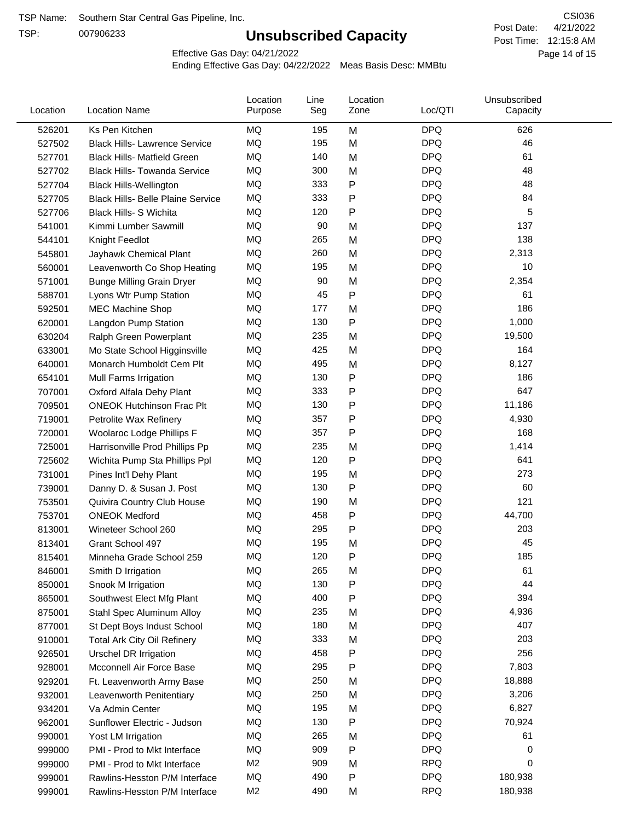TSP:

# **Unsubscribed Capacity**

4/21/2022 Page 14 of 15 Post Time: 12:15:8 AM CSI036 Post Date:

Effective Gas Day: 04/21/2022

| Location | <b>Location Name</b>                     | Location<br>Purpose | Line<br>Seg | Location<br>Zone | Loc/QTI    | Unsubscribed<br>Capacity |  |
|----------|------------------------------------------|---------------------|-------------|------------------|------------|--------------------------|--|
| 526201   | Ks Pen Kitchen                           | MQ                  | 195         | M                | <b>DPQ</b> | 626                      |  |
| 527502   | <b>Black Hills- Lawrence Service</b>     | <b>MQ</b>           | 195         | M                | <b>DPQ</b> | 46                       |  |
| 527701   | <b>Black Hills- Matfield Green</b>       | MQ                  | 140         | M                | <b>DPQ</b> | 61                       |  |
| 527702   | <b>Black Hills- Towanda Service</b>      | <b>MQ</b>           | 300         | M                | <b>DPQ</b> | 48                       |  |
| 527704   | <b>Black Hills-Wellington</b>            | MQ                  | 333         | P                | <b>DPQ</b> | 48                       |  |
| 527705   | <b>Black Hills- Belle Plaine Service</b> | MQ                  | 333         | P                | <b>DPQ</b> | 84                       |  |
| 527706   | <b>Black Hills- S Wichita</b>            | <b>MQ</b>           | 120         | Ρ                | <b>DPQ</b> | 5                        |  |
| 541001   | Kimmi Lumber Sawmill                     | MQ                  | 90          | M                | <b>DPQ</b> | 137                      |  |
| 544101   | Knight Feedlot                           | MQ                  | 265         | M                | <b>DPQ</b> | 138                      |  |
| 545801   | Jayhawk Chemical Plant                   | MQ                  | 260         | M                | <b>DPQ</b> | 2,313                    |  |
| 560001   | Leavenworth Co Shop Heating              | MQ                  | 195         | M                | <b>DPQ</b> | 10                       |  |
| 571001   | <b>Bunge Milling Grain Dryer</b>         | MQ                  | 90          | M                | <b>DPQ</b> | 2,354                    |  |
| 588701   | Lyons Wtr Pump Station                   | <b>MQ</b>           | 45          | P                | <b>DPQ</b> | 61                       |  |
| 592501   | <b>MEC Machine Shop</b>                  | <b>MQ</b>           | 177         | M                | <b>DPQ</b> | 186                      |  |
| 620001   | Langdon Pump Station                     | MQ                  | 130         | Ρ                | <b>DPQ</b> | 1,000                    |  |
| 630204   | Ralph Green Powerplant                   | <b>MQ</b>           | 235         | M                | <b>DPQ</b> | 19,500                   |  |
| 633001   | Mo State School Higginsville             | MQ                  | 425         | M                | <b>DPQ</b> | 164                      |  |
| 640001   | Monarch Humboldt Cem Plt                 | MQ                  | 495         | M                | <b>DPQ</b> | 8,127                    |  |
| 654101   | Mull Farms Irrigation                    | MQ                  | 130         | P                | <b>DPQ</b> | 186                      |  |
| 707001   | Oxford Alfala Dehy Plant                 | MQ                  | 333         | P                | <b>DPQ</b> | 647                      |  |
| 709501   | <b>ONEOK Hutchinson Frac Plt</b>         | MQ                  | 130         | Ρ                | <b>DPQ</b> | 11,186                   |  |
| 719001   | Petrolite Wax Refinery                   | MQ                  | 357         | Ρ                | <b>DPQ</b> | 4,930                    |  |
| 720001   | Woolaroc Lodge Phillips F                | <b>MQ</b>           | 357         | Ρ                | <b>DPQ</b> | 168                      |  |
| 725001   | Harrisonville Prod Phillips Pp           | MQ                  | 235         | M                | <b>DPQ</b> | 1,414                    |  |
| 725602   | Wichita Pump Sta Phillips Ppl            | MQ                  | 120         | Ρ                | <b>DPQ</b> | 641                      |  |
| 731001   | Pines Int'l Dehy Plant                   | MQ                  | 195         | M                | <b>DPQ</b> | 273                      |  |
| 739001   | Danny D. & Susan J. Post                 | MQ                  | 130         | Ρ                | <b>DPQ</b> | 60                       |  |
| 753501   | Quivira Country Club House               | MQ                  | 190         | M                | <b>DPQ</b> | 121                      |  |
| 753701   | <b>ONEOK Medford</b>                     | MQ                  | 458         | Ρ                | <b>DPQ</b> | 44,700                   |  |
| 813001   | Wineteer School 260                      | MQ                  | 295         | P                | <b>DPQ</b> | 203                      |  |
| 813401   | Grant School 497                         | <b>MQ</b>           | 195         | M                | <b>DPQ</b> | 45                       |  |
| 815401   | Minneha Grade School 259                 | ΜQ                  | 120         | Ρ                | <b>DPQ</b> | 185                      |  |
| 846001   | Smith D Irrigation                       | MQ                  | 265         | M                | <b>DPQ</b> | 61                       |  |
| 850001   | Snook M Irrigation                       | MQ                  | 130         | Ρ                | <b>DPQ</b> | 44                       |  |
| 865001   | Southwest Elect Mfg Plant                | MQ                  | 400         | Ρ                | <b>DPQ</b> | 394                      |  |
| 875001   | Stahl Spec Aluminum Alloy                | MQ                  | 235         | M                | <b>DPQ</b> | 4,936                    |  |
| 877001   | St Dept Boys Indust School               | MQ                  | 180         | M                | <b>DPQ</b> | 407                      |  |
| 910001   | <b>Total Ark City Oil Refinery</b>       | MQ                  | 333         | M                | <b>DPQ</b> | 203                      |  |
| 926501   | Urschel DR Irrigation                    | MQ                  | 458         | Ρ                | <b>DPQ</b> | 256                      |  |
| 928001   | Mcconnell Air Force Base                 | MQ                  | 295         | Ρ                | <b>DPQ</b> | 7,803                    |  |
| 929201   | Ft. Leavenworth Army Base                | MQ                  | 250         | M                | <b>DPQ</b> | 18,888                   |  |
| 932001   | Leavenworth Penitentiary                 | MQ                  | 250         | M                | <b>DPQ</b> | 3,206                    |  |
| 934201   | Va Admin Center                          | MQ                  | 195         | M                | <b>DPQ</b> | 6,827                    |  |
| 962001   | Sunflower Electric - Judson              | MQ                  | 130         | Ρ                | <b>DPQ</b> | 70,924                   |  |
| 990001   | Yost LM Irrigation                       | MQ                  | 265         | M                | <b>DPQ</b> | 61                       |  |
| 999000   | PMI - Prod to Mkt Interface              | MQ                  | 909         | Ρ                | <b>DPQ</b> | 0                        |  |
| 999000   | PMI - Prod to Mkt Interface              | M <sub>2</sub>      | 909         | M                | <b>RPQ</b> | 0                        |  |
| 999001   | Rawlins-Hesston P/M Interface            | MQ                  | 490         | Ρ                | <b>DPQ</b> | 180,938                  |  |
| 999001   | Rawlins-Hesston P/M Interface            | M <sub>2</sub>      | 490         | M                | <b>RPQ</b> | 180,938                  |  |